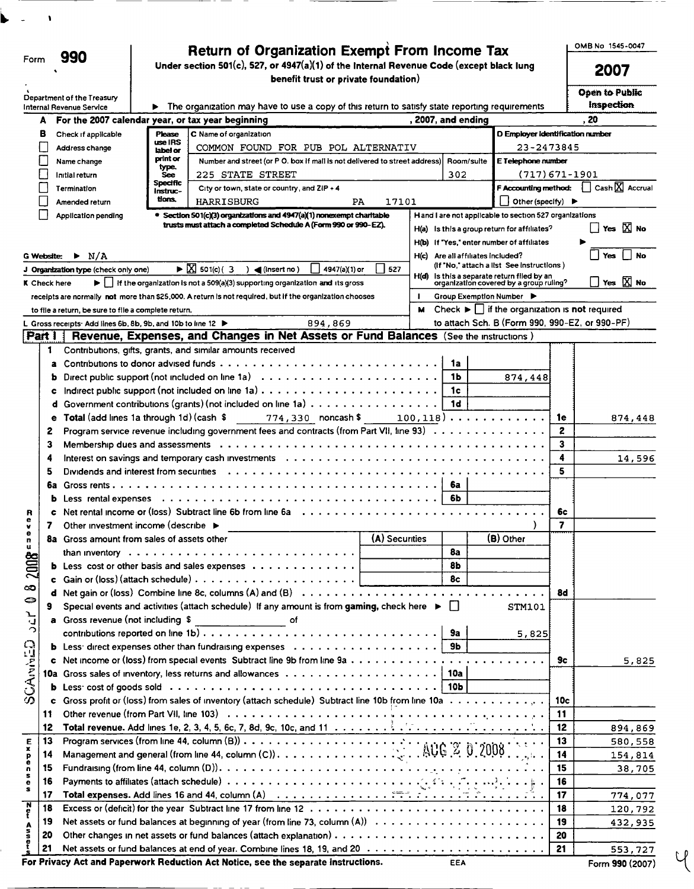|                         |              |                                                              |                               | <b>Return of Organization Exempt From Income Tax</b>                                                                                                                                     |                |              |                                   |                                                                                      |         | OMB No 1545-0047                            |
|-------------------------|--------------|--------------------------------------------------------------|-------------------------------|------------------------------------------------------------------------------------------------------------------------------------------------------------------------------------------|----------------|--------------|-----------------------------------|--------------------------------------------------------------------------------------|---------|---------------------------------------------|
| Form                    |              | 990                                                          |                               | Under section 501(c), 527, or 4947(a)(1) of the Internal Revenue Code (except black lung                                                                                                 |                |              |                                   |                                                                                      |         | 2007                                        |
|                         |              |                                                              |                               | benefit trust or private foundation)                                                                                                                                                     |                |              |                                   |                                                                                      |         |                                             |
|                         |              | Department of the Treasury                                   |                               |                                                                                                                                                                                          |                |              |                                   |                                                                                      |         | <b>Open to Public</b><br>Inspection         |
|                         |              | Internal Revenue Service                                     |                               | The organization may have to use a copy of this return to satisfy state reporting requirements                                                                                           |                |              |                                   |                                                                                      |         |                                             |
|                         | A            |                                                              |                               | For the 2007 calendar year, or tax year beginning                                                                                                                                        |                |              | , 2007, and ending                |                                                                                      |         | . 20                                        |
|                         | в            | Check if applicable                                          | Please<br>use IRS             | C Name of organization                                                                                                                                                                   |                |              |                                   | D Employer Identification number                                                     |         |                                             |
|                         |              | Address change                                               | label or<br>print or          | COMMON FOUND FOR PUB POL ALTERNATIV                                                                                                                                                      |                |              |                                   | 23-2473845                                                                           |         |                                             |
|                         |              | Name change                                                  | type.                         | Number and street (or P O. box if mail is not delivered to street address)                                                                                                               |                |              | Room/suite                        | E Telephone number                                                                   |         |                                             |
|                         |              | Initial return                                               | <b>See</b><br><b>Specific</b> | <b>225 STATE STREET</b>                                                                                                                                                                  |                |              | 302                               | (717)671-1901                                                                        |         | $\Box$ Cash $\overline{\mathrm{X}}$ Accrual |
|                         |              | Termination                                                  | Instruc-<br>tions.            | City or town, state or country, and ZIP + 4                                                                                                                                              |                |              |                                   | <b>F Accounting method:</b>                                                          |         |                                             |
|                         |              | Amended return                                               |                               | <b>HARRISBURG</b><br>PA                                                                                                                                                                  | 17101          |              |                                   | Other (specify) $\blacktriangleright$                                                |         |                                             |
|                         |              | <b>Application pending</b>                                   |                               | <b>• Section 501(c)(3) organizations and 4947(a)(1) nonexempt charitable</b><br>trusts must attach a completed Schedule A (Form 990 or 990-EZ).                                          |                |              |                                   | H and I are not applicable to section 527 organizations                              |         | $\Box$ Yes $\boxtimes$ No                   |
|                         |              |                                                              |                               |                                                                                                                                                                                          |                |              |                                   | $H(a)$ is this a group return for affiliates?                                        |         |                                             |
|                         |              |                                                              |                               |                                                                                                                                                                                          |                |              |                                   | H(b) If "Yes," enter number of affiliates                                            |         |                                             |
|                         | G Website:   | $\blacktriangleright$ N/A                                    |                               |                                                                                                                                                                                          |                |              | H(c) Are all affiliates included? | (If "No," attach a list See instructions)                                            |         | Yes<br><b>No</b>                            |
|                         |              | J Organization type (check only one)                         |                               | $\blacktriangleright \boxed{\times}$ 501(c) (3<br>4947(a)(1) or<br>$\triangleleft$ (insert no)                                                                                           | 527            |              |                                   | $H(d)$ Is this a separate return filed by an organization covered by a group ruling? |         | $\Box$ Yes $\boxtimes$ No                   |
|                         | K Check here |                                                              |                               | $\blacktriangleright$     If the organization is not a 509(a)(3) supporting organization and its gross                                                                                   |                |              |                                   |                                                                                      |         |                                             |
|                         |              |                                                              |                               | receipts are normally not more than \$25,000. A return is not required, but if the organization chooses                                                                                  |                | $\mathbf{I}$ | Group Exemption Number ▶          |                                                                                      |         |                                             |
|                         |              | to file a return, be sure to file a complete return.         |                               |                                                                                                                                                                                          |                | м            |                                   | Check $\blacktriangleright$ if the organization is <b>not</b> required               |         |                                             |
|                         |              | L Gross receipts: Add lines 6b, 8b, 9b, and 10b to line 12 ▶ |                               | 894,869                                                                                                                                                                                  |                |              |                                   | to attach Sch. B (Form 990, 990-EZ, or 990-PF)                                       |         |                                             |
| Part I                  |              |                                                              |                               | Revenue, Expenses, and Changes in Net Assets or Fund Balances (See the Instructions)                                                                                                     |                |              |                                   |                                                                                      |         |                                             |
|                         | 1            |                                                              |                               | Contributions, gifts, grants, and similar amounts received                                                                                                                               |                |              |                                   |                                                                                      |         |                                             |
|                         |              |                                                              |                               |                                                                                                                                                                                          |                |              | 1a                                |                                                                                      |         |                                             |
|                         |              |                                                              |                               |                                                                                                                                                                                          |                |              | 1Ь                                | 874,448                                                                              |         |                                             |
|                         | c            |                                                              |                               | Indirect public support (not included on line $1a) \ldots \ldots \ldots \ldots \ldots \ldots \ldots \ldots \ldots$                                                                       |                |              | 1c                                |                                                                                      |         |                                             |
|                         |              |                                                              |                               | Government contributions (grants) (not included on line 1a)                                                                                                                              |                |              | 1d                                |                                                                                      |         |                                             |
|                         | е            | Total (add lines 1a through 1d) (cash \$                     |                               | 774,330 noncash \$                                                                                                                                                                       |                |              |                                   | $100, 118) \ldots \ldots \ldots \ldots$                                              | 1e      | 874,448                                     |
|                         | 2            |                                                              |                               | Program service revenue including government fees and contracts (from Part VII, line 93)                                                                                                 |                |              |                                   |                                                                                      | 2       |                                             |
|                         | з            |                                                              |                               |                                                                                                                                                                                          |                |              |                                   |                                                                                      | 3       |                                             |
|                         | 4            |                                                              |                               | Interest on savings and temporary cash investments $\ldots \ldots \ldots \ldots \ldots \ldots \ldots \ldots \ldots \ldots \ldots$                                                        |                |              |                                   |                                                                                      | 4       | 14,596                                      |
|                         | 5            | Dividends and interest from securities                       |                               |                                                                                                                                                                                          |                |              |                                   |                                                                                      | 5       |                                             |
|                         | 6a           |                                                              |                               |                                                                                                                                                                                          |                |              | 6a                                |                                                                                      |         |                                             |
|                         | b            |                                                              |                               | Net rental income or (loss) Subtract line 6b from line $6a \ldots a \ldots a \ldots$                                                                                                     |                |              | 6b                                |                                                                                      |         |                                             |
| R<br>е                  | c            |                                                              |                               |                                                                                                                                                                                          |                |              |                                   |                                                                                      | 6c<br>7 |                                             |
| v<br>е                  | 7            | Other investment income (describe ▶                          |                               |                                                                                                                                                                                          |                |              |                                   |                                                                                      |         |                                             |
| п                       | 8a           | Gross amount from sales of assets other                      |                               |                                                                                                                                                                                          | (A) Securities |              | 8a                                | (B) Other                                                                            |         |                                             |
|                         |              |                                                              |                               |                                                                                                                                                                                          |                |              | 8 <sub>b</sub>                    |                                                                                      |         |                                             |
| 082008                  |              |                                                              |                               |                                                                                                                                                                                          |                |              | 8 <sub>c</sub>                    |                                                                                      |         |                                             |
|                         |              |                                                              |                               |                                                                                                                                                                                          |                |              |                                   |                                                                                      | 8d      |                                             |
|                         | 9            |                                                              |                               | Special events and activities (attach schedule) If any amount is from gaming, check here $\blacktriangleright \Box$                                                                      |                |              |                                   | STM101                                                                               |         |                                             |
| 2cV                     |              | Gross revenue (not including \$                              |                               | ______________ of                                                                                                                                                                        |                |              |                                   |                                                                                      |         |                                             |
|                         |              |                                                              |                               |                                                                                                                                                                                          |                |              |                                   | 5,825                                                                                |         |                                             |
|                         |              |                                                              |                               | <b>b</b> Less: direct expenses other than fundraising expenses $\ldots \ldots \ldots \ldots \ldots \ldots$                                                                               |                |              |                                   |                                                                                      |         |                                             |
| <b>SCAMMOD</b>          |              |                                                              |                               |                                                                                                                                                                                          |                |              |                                   |                                                                                      | 9c      | 5,825                                       |
|                         |              |                                                              |                               |                                                                                                                                                                                          |                |              |                                   |                                                                                      |         |                                             |
|                         |              |                                                              |                               |                                                                                                                                                                                          |                |              |                                   |                                                                                      |         |                                             |
|                         |              |                                                              |                               | Gross profit or (loss) from sales of inventory (attach schedule) Subtract line 10b from line 10a                                                                                         |                |              |                                   |                                                                                      | 10c     |                                             |
|                         | 11           |                                                              |                               |                                                                                                                                                                                          |                |              |                                   |                                                                                      | 11      |                                             |
|                         | 12           |                                                              |                               |                                                                                                                                                                                          |                |              |                                   |                                                                                      | 12      | 894,869                                     |
|                         | 13           |                                                              |                               |                                                                                                                                                                                          |                |              |                                   |                                                                                      | 13      | 580,558                                     |
| $\frac{E}{x}$           | 14           |                                                              |                               | Program services (from line 44, column (B)) $\ldots \ldots \ldots \ldots \ldots \ldots$<br>Management and general (from line 44, column (C)) $\ldots \ldots \ldots \ldots \ldots \ldots$ |                |              |                                   |                                                                                      | 14      | 154,814                                     |
| $_{\rm e}^{\rm p}$<br>n | 15           |                                                              |                               |                                                                                                                                                                                          |                |              |                                   |                                                                                      | 15      | 38,705                                      |
| s<br>$\bullet$          | 16           |                                                              |                               | Payments to affiliates (attach schedule) $\ldots \ldots \ldots \ldots \ldots \ldots \ldots \ldots \ldots$                                                                                |                |              |                                   |                                                                                      | 16      |                                             |
| s                       | 17           |                                                              |                               | Total expenses. Add lines 16 and 44, column (A) $\ldots \ldots \ldots \ldots \ldots$                                                                                                     |                |              |                                   |                                                                                      | 17      | 774,077                                     |
| $\frac{N}{t}$           | 18           |                                                              |                               |                                                                                                                                                                                          |                |              |                                   |                                                                                      | 18      | 120,792                                     |
|                         | 19           |                                                              |                               |                                                                                                                                                                                          |                |              |                                   |                                                                                      | 19      | 432,935                                     |
| Asset                   | 20           |                                                              |                               |                                                                                                                                                                                          |                |              |                                   |                                                                                      | 20      |                                             |
|                         | 21           |                                                              |                               |                                                                                                                                                                                          |                |              |                                   |                                                                                      | 21      | 553,727                                     |
|                         |              |                                                              |                               | For Privacy Act and Paperwork Reduction Act Notice, see the separate instructions.                                                                                                       |                |              | <b>EEA</b>                        |                                                                                      |         | Form 990 (2007)                             |
|                         |              |                                                              |                               |                                                                                                                                                                                          |                |              |                                   |                                                                                      |         |                                             |

 $\vee$ 

 $\bar{\mathbf{v}}$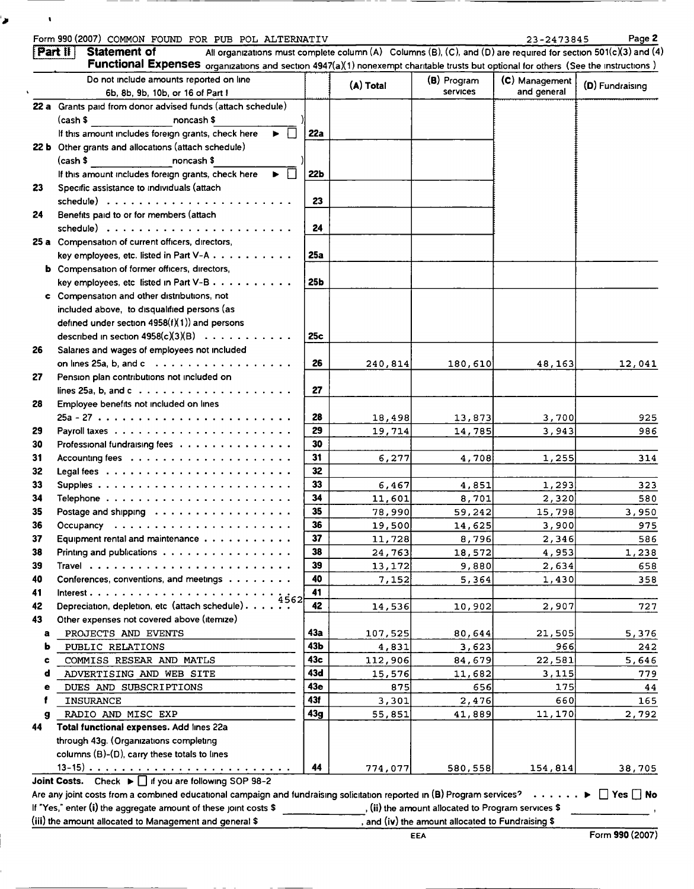## Form 990 (2007) COMMON FOUND FOR PUB POL ALTERNATIV 23-2473845 Page 2

۱J

 $\bar{\mathbf{t}}$ 

|    | Do not include amounts reported on line                          |                 | (A) Total | (B) Program     | (C) Management | (D) Fundraising |
|----|------------------------------------------------------------------|-----------------|-----------|-----------------|----------------|-----------------|
|    | 6b, 8b, 9b, 10b, or 16 of Part I                                 |                 |           | <b>Services</b> | and general    |                 |
|    | 22 a Grants paid from donor advised funds (attach schedule)      |                 |           |                 |                |                 |
|    | <b>Example 2</b> Proposed S<br>(cash \$                          |                 |           |                 |                |                 |
|    | If this amount includes foreign grants, check here<br>ь.         | 22a             |           |                 |                |                 |
|    | 22 b Other grants and allocations (attach schedule)              |                 |           |                 |                |                 |
|    | <b>Example 2019</b> Transport 3<br>(cash \$                      |                 |           |                 |                |                 |
|    | If this amount includes foreign grants, check here<br>П<br>ь.    | 22 <sub>b</sub> |           |                 |                |                 |
| 23 | Specific assistance to individuals (attach                       |                 |           |                 |                |                 |
|    |                                                                  | 23              |           |                 |                |                 |
| 24 | Benefits paid to or for members (attach                          |                 |           |                 |                |                 |
|    |                                                                  | 24              |           |                 |                |                 |
|    | 25 a Compensation of current officers, directors,                |                 |           |                 |                |                 |
|    | key employees, etc. listed in Part V-A                           | 25a             |           |                 |                |                 |
|    | <b>b</b> Compensation of former officers, directors,             |                 |           |                 |                |                 |
|    | key employees, etc listed in Part V-B                            | 25b             |           |                 |                |                 |
|    | c Compensation and other distributions, not                      |                 |           |                 |                |                 |
|    | included above, to disqualified persons (as                      |                 |           |                 |                |                 |
|    | defined under section $4958(f)(1)$ ) and persons                 |                 |           |                 |                |                 |
|    | described in section $4958(c)(3)(B)$                             | 25c             |           |                 |                |                 |
| 26 | Salaries and wages of employees not included                     |                 |           |                 |                |                 |
|    | on lines 25a, b, and $c \ldots$                                  | 26              | 240,814   | 180,610         | 48,163         | 12,041          |
| 27 | Pension plan contributions not included on                       |                 |           |                 |                |                 |
|    | lines 25a, b, and $c \ldots$                                     | 27              |           |                 |                |                 |
| 28 | Employee benefits not included on lines                          |                 |           |                 |                |                 |
|    |                                                                  | 28              | 18,498    | 13,873          | 3,700          | 925             |
| 29 |                                                                  | 29              | 19,714    | 14,785          | 3,943          | 986             |
| 30 | Professional fundraising fees                                    | 30              |           |                 |                |                 |
| 31 |                                                                  | 31              | 6,277     | 4,708           | 1,255          | 314             |
| 32 |                                                                  | 32              |           |                 |                |                 |
| 33 |                                                                  | 33              | 6,467     | 4,851           | 1,293          | 323             |
| 34 |                                                                  | 34              | 11,601    | 8,701           | 2,320          | 580             |
| 35 | Postage and shipping                                             | 35              | 78,990    | 59,242          | 15,798         | 3,950           |
| 36 |                                                                  | 36              | 19,500    | 14,625          | 3,900          | 975             |
| 37 | Equipment rental and maintenance                                 | 37              | 11,728    | 8,796           | 2,346          | 586             |
| 38 | Printing and publications                                        | 38              | 24,763    | 18,572          | 4,953          | 1,238           |
| 39 |                                                                  | 39              | 13,172    | 9,880           | 2,634          | 658             |
| 40 | Conferences, conventions, and meetings                           | 40              | 7,152     | 5,364           | 1,430          | 358             |
| 41 | Interest.<br>4562                                                | 41              |           |                 |                |                 |
| 42 | Depreciation, depletion, etc (attach schedule).                  | 42              | 14,536    | 10,902          | 2,907          | 727             |
| 43 | Other expenses not covered above (itemize)                       |                 |           |                 |                |                 |
| a  | PROJECTS AND EVENTS                                              | 43a             | 107,525   | 80,644          | 21,505         | 5,376           |
| ь  | PUBLIC RELATIONS                                                 | 43b             | 4,831     | 3,623           | 966            | 242             |
| c  | COMMISS RESEAR AND MATLS                                         | 43с             | 112,906   | 84,679          | 22,581         | 5,646           |
| d  | ADVERTISING AND WEB SITE                                         | 43d             | 15,576    | 11,682          | 3,115          | 779             |
| е  | DUES AND SUBSCRIPTIONS                                           | 43e             | 875       | 656             | 175            | 44              |
|    | <b>INSURANCE</b>                                                 | 43f             | 3,301     | 2,476           | 660            | 165             |
| g  | RADIO AND MISC EXP                                               | 43g             | 55,851    | 41,889          | 11,170         | 2,792           |
| 44 | Total functional expenses. Add lines 22a                         |                 |           |                 |                |                 |
|    | through 43g. (Organizations completing                           |                 |           |                 |                |                 |
|    | columns (B)-(D), carry these totals to lines                     |                 |           |                 |                |                 |
|    | $13-15)$<br>Joint Costs. Check ► I if you are following SOP 98-2 | 44              | 774,077   | 580,558         | 154,814        | 38,705          |

(iii) the amount allocated to Management and general \$ , and (iv) the amount allocated to Fundraising \$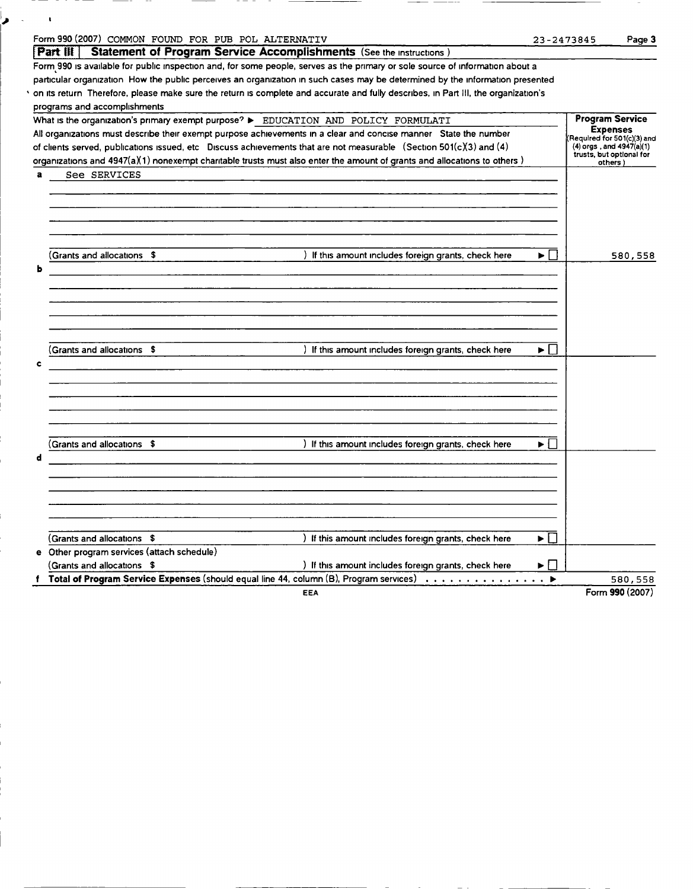|   | Form 990 (2007) COMMON FOUND FOR PUB POL ALTERNATIV                                                                                |       | 23-2473845                                                 | Page 3          |
|---|------------------------------------------------------------------------------------------------------------------------------------|-------|------------------------------------------------------------|-----------------|
|   | $ $ Part $ $ $\parallel$ $ $<br><b>Statement of Program Service Accomplishments</b> (See the instructions)                         |       |                                                            |                 |
|   | Form 990 is available for public inspection and, for some people, serves as the primary or sole source of information about a      |       |                                                            |                 |
|   | particular organization How the public perceives an organization in such cases may be determined by the information presented      |       |                                                            |                 |
|   | on its return Therefore, please make sure the return is complete and accurate and fully describes, in Part III, the organization's |       |                                                            |                 |
|   | programs and accomplishments                                                                                                       |       |                                                            |                 |
|   | What is the organization's primary exempt purpose? > EDUCATION AND POLICY FORMULATI                                                |       | <b>Program Service</b>                                     |                 |
|   | All organizations must describe their exempt purpose achievements in a clear and concise manner State the number                   |       | <b>Expenses</b>                                            |                 |
|   | of clients served, publications issued, etc Discuss achievements that are not measurable (Section 501(c)(3) and (4)                |       | Required for 501(c)(3) and<br>$(4)$ orgs, and $4947(a)(1)$ |                 |
|   | organizations and 4947(a)(1) nonexempt charitable trusts must also enter the amount of grants and allocations to others)           |       | trusts, but optional for<br>others)                        |                 |
| a | See SERVICES                                                                                                                       |       |                                                            |                 |
|   |                                                                                                                                    |       |                                                            |                 |
|   |                                                                                                                                    |       |                                                            |                 |
|   |                                                                                                                                    |       |                                                            |                 |
|   |                                                                                                                                    |       |                                                            |                 |
|   |                                                                                                                                    |       |                                                            |                 |
|   |                                                                                                                                    |       |                                                            |                 |
|   | (Grants and allocations \$<br>) If this amount includes foreign grants, check here                                                 | ▶□    |                                                            | 580,558         |
| ь |                                                                                                                                    |       |                                                            |                 |
|   |                                                                                                                                    |       |                                                            |                 |
|   |                                                                                                                                    |       |                                                            |                 |
|   |                                                                                                                                    |       |                                                            |                 |
|   |                                                                                                                                    |       |                                                            |                 |
|   |                                                                                                                                    |       |                                                            |                 |
|   | Grants and allocations \$<br>) If this amount includes foreign grants, check here                                                  | ▶ │   |                                                            |                 |
| c |                                                                                                                                    |       |                                                            |                 |
|   |                                                                                                                                    |       |                                                            |                 |
|   |                                                                                                                                    |       |                                                            |                 |
|   |                                                                                                                                    |       |                                                            |                 |
|   |                                                                                                                                    |       |                                                            |                 |
|   |                                                                                                                                    |       |                                                            |                 |
|   | (Grants and allocations \$<br>) If this amount includes foreign grants, check here                                                 | ► ⊡   |                                                            |                 |
| d |                                                                                                                                    |       |                                                            |                 |
|   |                                                                                                                                    |       |                                                            |                 |
|   |                                                                                                                                    |       |                                                            |                 |
|   |                                                                                                                                    |       |                                                            |                 |
|   |                                                                                                                                    |       |                                                            |                 |
|   |                                                                                                                                    |       |                                                            |                 |
|   | (Grants and allocations \$                                                                                                         | ▶││   |                                                            |                 |
|   | ) If this amount includes foreign grants, check here<br>e Other program services (attach schedule)                                 |       |                                                            |                 |
|   |                                                                                                                                    |       |                                                            |                 |
|   | (Grants and allocations \$<br>) If this amount includes foreign grants, check here                                                 | ▶ │ │ |                                                            |                 |
|   | f Total of Program Service Expenses (should equal line 44, column (B), Program services)                                           |       |                                                            | 580,558         |
|   | EEA                                                                                                                                |       |                                                            | Form 990 (2007) |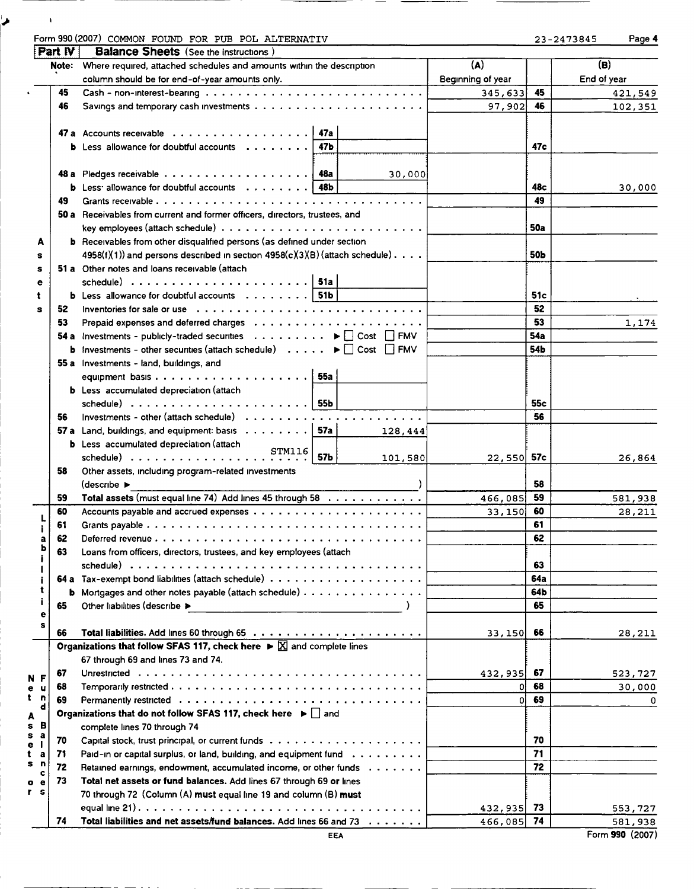| Form 990 (2007) | COMMON FOUND FOR |  | PUB | POL ALTERNATIV | 23-2473845 | Page 4 |
|-----------------|------------------|--|-----|----------------|------------|--------|
|                 | ____             |  |     |                |            |        |

 $\mathbf{I}$ 

ر

|  | -2473845 |  | Page |
|--|----------|--|------|
|--|----------|--|------|

|                         | Part IV | <b>Balance Sheets</b> (See the instructions)                                                                       |                   |            |                 |
|-------------------------|---------|--------------------------------------------------------------------------------------------------------------------|-------------------|------------|-----------------|
|                         | Note:   | Where required, attached schedules and amounts within the description                                              | (A)               |            | (B)             |
|                         |         | column should be for end-of-year amounts only.<br>the control of the control of the control of                     | Beginning of year |            | End of year     |
|                         | 45      |                                                                                                                    | 345,633           | 45         | 421,549         |
|                         | 46      |                                                                                                                    | 97,902            | 46         | 102,351         |
|                         |         |                                                                                                                    |                   |            |                 |
|                         |         |                                                                                                                    |                   |            |                 |
|                         |         | 47Ь<br><b>b</b> Less allowance for doubtful accounts $\cdots$ , $\cdots$                                           |                   | 47c        |                 |
|                         |         |                                                                                                                    |                   |            |                 |
|                         |         | 30,000                                                                                                             |                   |            |                 |
|                         |         | <b>b</b> Less <sup>2</sup> allowance for doubtful accounts $\ldots$ $\ldots$ $\ldots$   48b                        |                   | 48c        | 30,000          |
|                         | 49      |                                                                                                                    |                   | 49         |                 |
|                         |         | 50 a Receivables from current and former officers, directors, trustees, and                                        |                   |            |                 |
|                         |         |                                                                                                                    |                   | <b>50a</b> |                 |
| А                       |         | <b>b</b> Receivables from other disqualified persons (as defined under section                                     |                   |            |                 |
| s                       |         | $4958(f)(1)$ and persons described in section $4958(c)(3)(B)$ (attach schedule).                                   |                   | 50Ь        |                 |
| s                       |         | 51 a Other notes and loans receivable (attach                                                                      |                   |            |                 |
| е                       |         |                                                                                                                    |                   |            |                 |
| t                       |         | <b>b</b> Less allowance for doubtful accounts $\ldots \ldots \ldots$   51b                                         |                   | 51c        |                 |
| s                       | 52      |                                                                                                                    |                   | 52         |                 |
|                         | 53      |                                                                                                                    |                   | 53         | 1,174           |
|                         |         | 54 a Investments - publicly-traded securities $\ldots \ldots \ldots \blacktriangleright \Box$ Cost $\Box$ FMV      |                   | <b>54a</b> |                 |
|                         |         | <b>b</b> Investments - other securities (attach schedule) $\ldots \ldots \blacktriangleright \Box$ Cost $\Box$ FMV |                   | 54b        |                 |
|                         |         | 55 a Investments - land, buildings, and                                                                            |                   |            |                 |
|                         |         |                                                                                                                    |                   |            |                 |
|                         |         | <b>b</b> Less accumulated depreciation (attach                                                                     |                   |            |                 |
|                         |         | schedule) $\ldots \ldots \ldots \ldots \ldots \ldots$                                                              |                   | 55c        |                 |
|                         | 56      | Investments - other (attach schedule) $\ldots \ldots \ldots \ldots \ldots \ldots \ldots \ldots$                    |                   | 56         |                 |
|                         |         | 57 a Land, buildings, and equipment: basis $\ldots \ldots \ldots$ 57a<br>128,444                                   |                   |            |                 |
|                         |         |                                                                                                                    |                   |            |                 |
|                         |         | <b>b</b> Less accumulated depreciation (attach<br>schedule)<br>STM116<br>57b<br>101,580                            | $22,550$ 57c      |            | 26,864          |
|                         | 58      | Other assets, including program-related investments                                                                |                   |            |                 |
|                         |         | $\text{ (describe} \rightarrow \text{ )}$                                                                          |                   | 58         |                 |
|                         | 59      | Total assets (must equal line 74) Add lines 45 through 58                                                          | 466,085           | 59         | 581,938         |
|                         | 60      |                                                                                                                    | 33,150            | 60         | 28,211          |
|                         | 61      |                                                                                                                    |                   | 61         |                 |
|                         | 62      |                                                                                                                    |                   | 62         |                 |
| a<br>ь                  | 63      | Loans from officers, directors, trustees, and key employees (attach                                                |                   |            |                 |
| Ĭ                       |         |                                                                                                                    |                   | 63         |                 |
|                         |         |                                                                                                                    |                   | 64a        |                 |
| i<br>t                  |         | <b>b</b> Mortgages and other notes payable (attach schedule)                                                       |                   | 64b        |                 |
| j.                      |         | Other liabilities (describe >                                                                                      |                   | 65         |                 |
| е                       | 65      | the control of the control of the control of the                                                                   |                   |            |                 |
| s                       | 66      |                                                                                                                    |                   | 66         |                 |
|                         |         | Organizations that follow SFAS 117, check here $\triangleright \boxtimes$ and complete lines                       | 33,150            |            | 28,211          |
|                         |         | 67 through 69 and lines 73 and 74.                                                                                 |                   |            |                 |
|                         | 67      |                                                                                                                    |                   | 67         |                 |
| N<br>F                  |         |                                                                                                                    | 432,935           | 68         | 523,727         |
| е<br>u<br>t<br>n        | 68      |                                                                                                                    | οl                | 69         | 30,000          |
| d                       | 69      | Organizations that do not follow SFAS 117, check here $\blacktriangleright \Box$ and                               | ٥l                |            | 0               |
| A<br>s<br>в             |         |                                                                                                                    |                   |            |                 |
| s<br>а                  |         | complete lines 70 through 74                                                                                       |                   |            |                 |
| <sup>1</sup><br>e       | 70      |                                                                                                                    |                   | 70         |                 |
| t<br>a<br>s<br>n        | 71      | Paid-in or capital surplus, or land, building, and equipment fund                                                  |                   | 71         |                 |
| c                       | 72      | Retained earnings, endowment, accumulated income, or other funds                                                   |                   | 72         |                 |
| o<br>е<br>۲<br><b>S</b> | 73      | Total net assets or fund balances. Add lines 67 through 69 or lines                                                |                   |            |                 |
|                         |         | 70 through 72 (Column (A) must equal line 19 and column (B) must                                                   |                   |            |                 |
|                         |         |                                                                                                                    | 432,935           | 73         | 553,727         |
|                         | 74      | Total liabilities and net assets/fund balances. Add lines 66 and 73                                                | 466,085           | 74         | 581,938         |
|                         |         | <b>EEA</b>                                                                                                         |                   |            | Form 990 (2007) |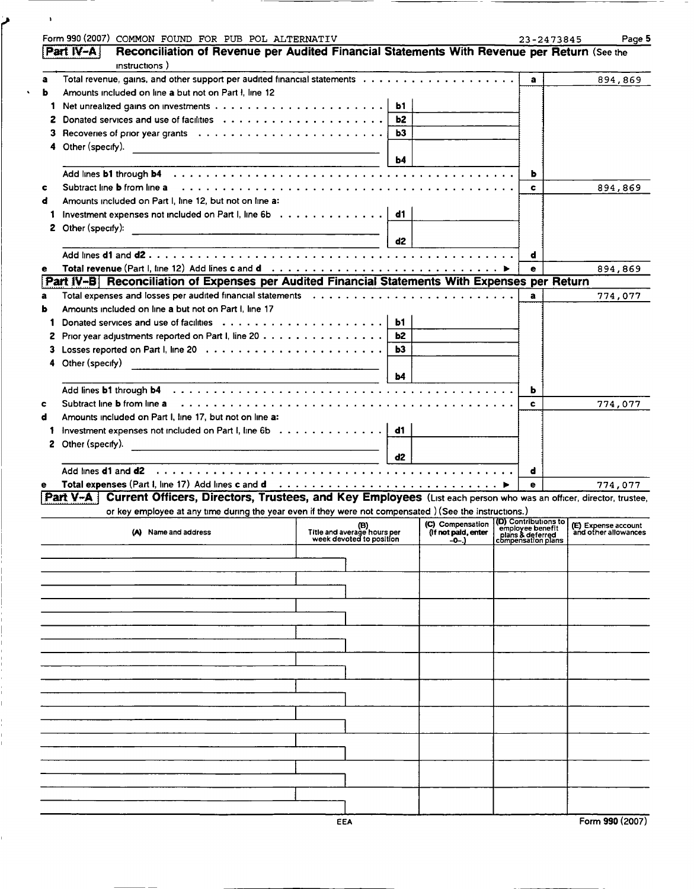|        | Form 990 (2007) COMMON FOUND FOR PUB POL ALTERNATIV                                                                                                                                                                          |                                                         |                |                     | 23-2473845                             | Page 5                                                                                                                 |
|--------|------------------------------------------------------------------------------------------------------------------------------------------------------------------------------------------------------------------------------|---------------------------------------------------------|----------------|---------------------|----------------------------------------|------------------------------------------------------------------------------------------------------------------------|
|        | Reconciliation of Revenue per Audited Financial Statements With Revenue per Return (See the<br>Part IV-A                                                                                                                     |                                                         |                |                     |                                        |                                                                                                                        |
|        | instructions)                                                                                                                                                                                                                |                                                         |                |                     |                                        |                                                                                                                        |
| a<br>ь | Amounts included on line a but not on Part I, line 12                                                                                                                                                                        |                                                         |                |                     | $\mathbf{a}$                           | 894,869                                                                                                                |
|        |                                                                                                                                                                                                                              |                                                         |                |                     |                                        |                                                                                                                        |
| 1      |                                                                                                                                                                                                                              |                                                         | ь1             |                     |                                        |                                                                                                                        |
| z      |                                                                                                                                                                                                                              |                                                         | b2             |                     |                                        |                                                                                                                        |
| з      |                                                                                                                                                                                                                              |                                                         | b3             |                     |                                        |                                                                                                                        |
| 4      | Other (specify).                                                                                                                                                                                                             |                                                         |                |                     |                                        |                                                                                                                        |
|        |                                                                                                                                                                                                                              |                                                         | b4             |                     |                                        |                                                                                                                        |
|        |                                                                                                                                                                                                                              |                                                         |                |                     | ь                                      |                                                                                                                        |
| c      | Subtract line <b>b</b> from line a                                                                                                                                                                                           |                                                         |                |                     | c                                      | 894,869                                                                                                                |
| đ      | Amounts included on Part I, line 12, but not on line a:                                                                                                                                                                      |                                                         |                |                     |                                        |                                                                                                                        |
| 1      | Investment expenses not included on Part I, line 6b                                                                                                                                                                          |                                                         | d1             |                     |                                        |                                                                                                                        |
|        | 2 Other (specify):<br><u> 1980 - Johann Harry Harry Harry Harry Harry Harry Harry Harry Harry Harry Harry Harry Harry Harry Harry Harry</u>                                                                                  |                                                         |                |                     |                                        |                                                                                                                        |
|        |                                                                                                                                                                                                                              |                                                         | d <sub>2</sub> |                     |                                        |                                                                                                                        |
|        |                                                                                                                                                                                                                              |                                                         |                |                     | d                                      |                                                                                                                        |
| е      |                                                                                                                                                                                                                              |                                                         |                |                     | e                                      | 894,869                                                                                                                |
|        | Part IV-B Reconciliation of Expenses per Audited Financial Statements With Expenses per Return                                                                                                                               |                                                         |                |                     |                                        |                                                                                                                        |
| a      | Total expenses and losses per audited financial statements (all contained by calculation of the set of the set                                                                                                               |                                                         |                |                     | a                                      | 774,077                                                                                                                |
| ь      | Amounts included on line a but not on Part I, line 17                                                                                                                                                                        |                                                         |                |                     |                                        |                                                                                                                        |
|        |                                                                                                                                                                                                                              |                                                         | <b>b1</b>      |                     |                                        |                                                                                                                        |
| 2      |                                                                                                                                                                                                                              |                                                         | b2             |                     |                                        |                                                                                                                        |
| З.     |                                                                                                                                                                                                                              |                                                         | Ь3             |                     |                                        |                                                                                                                        |
|        | Other (specify)                                                                                                                                                                                                              |                                                         |                |                     |                                        |                                                                                                                        |
|        |                                                                                                                                                                                                                              |                                                         | b4             |                     |                                        |                                                                                                                        |
|        | Add lines <b>b1</b> through <b>b4</b>                                                                                                                                                                                        |                                                         |                |                     | ь                                      |                                                                                                                        |
| c      | Subtract line <b>b</b> from line a                                                                                                                                                                                           |                                                         |                |                     | c                                      | 774,077                                                                                                                |
| d      | Amounts included on Part I, line 17, but not on line a:                                                                                                                                                                      |                                                         |                |                     |                                        |                                                                                                                        |
|        | Investment expenses not included on Part I, line 6b                                                                                                                                                                          |                                                         | d1             |                     |                                        |                                                                                                                        |
|        | 2 Other (specify).                                                                                                                                                                                                           |                                                         |                |                     |                                        |                                                                                                                        |
|        |                                                                                                                                                                                                                              |                                                         | d2             |                     |                                        |                                                                                                                        |
|        | Add lines <b>d1</b> and <b>d2</b>                                                                                                                                                                                            |                                                         |                |                     | d                                      |                                                                                                                        |
|        | Total expenses (Part I, line 17) Add lines c and d intervention of the set of the set of the set of the set of the set of the set of the set of the set of the set of the set of the set of the set of the set of the set of |                                                         |                |                     | е                                      | 774,077                                                                                                                |
|        | Part V-A   Current Officers, Directors, Trustees, and Key Employees (List each person who was an officer, director, trustee,                                                                                                 |                                                         |                |                     |                                        |                                                                                                                        |
|        | or key employee at any time during the year even if they were not compensated ) (See the instructions.)                                                                                                                      |                                                         |                |                     |                                        |                                                                                                                        |
|        | Name and address                                                                                                                                                                                                             | (B)                                                     |                | (If not paid, enter |                                        | (C) Compensation (D) Contributions to (E) Expense account<br>(C) Compensation employee benefit<br>and other allowances |
|        |                                                                                                                                                                                                                              | Title and average hours per<br>week devoted to position |                | $-0$ -.)            | plans & deferred<br>compensation plans |                                                                                                                        |
|        |                                                                                                                                                                                                                              |                                                         |                |                     |                                        |                                                                                                                        |
|        |                                                                                                                                                                                                                              |                                                         |                |                     |                                        |                                                                                                                        |
|        |                                                                                                                                                                                                                              |                                                         |                |                     |                                        |                                                                                                                        |
|        |                                                                                                                                                                                                                              |                                                         |                |                     |                                        |                                                                                                                        |
|        |                                                                                                                                                                                                                              |                                                         |                |                     |                                        |                                                                                                                        |
|        |                                                                                                                                                                                                                              |                                                         |                |                     |                                        |                                                                                                                        |
|        |                                                                                                                                                                                                                              |                                                         |                |                     |                                        |                                                                                                                        |
|        |                                                                                                                                                                                                                              |                                                         |                |                     |                                        |                                                                                                                        |
|        |                                                                                                                                                                                                                              |                                                         |                |                     |                                        |                                                                                                                        |
|        |                                                                                                                                                                                                                              |                                                         |                |                     |                                        |                                                                                                                        |
|        |                                                                                                                                                                                                                              |                                                         |                |                     |                                        |                                                                                                                        |
|        |                                                                                                                                                                                                                              |                                                         |                |                     |                                        |                                                                                                                        |
|        |                                                                                                                                                                                                                              |                                                         |                |                     |                                        |                                                                                                                        |
|        |                                                                                                                                                                                                                              |                                                         |                |                     |                                        |                                                                                                                        |
|        |                                                                                                                                                                                                                              |                                                         |                |                     |                                        |                                                                                                                        |
|        |                                                                                                                                                                                                                              |                                                         |                |                     |                                        |                                                                                                                        |
|        |                                                                                                                                                                                                                              |                                                         |                |                     |                                        |                                                                                                                        |
|        |                                                                                                                                                                                                                              |                                                         |                |                     |                                        |                                                                                                                        |
|        |                                                                                                                                                                                                                              |                                                         |                |                     |                                        |                                                                                                                        |
|        |                                                                                                                                                                                                                              |                                                         |                |                     |                                        |                                                                                                                        |
|        |                                                                                                                                                                                                                              | EEA                                                     |                |                     |                                        | Form 990 (2007)                                                                                                        |

 $\bar{\mathbf{r}}$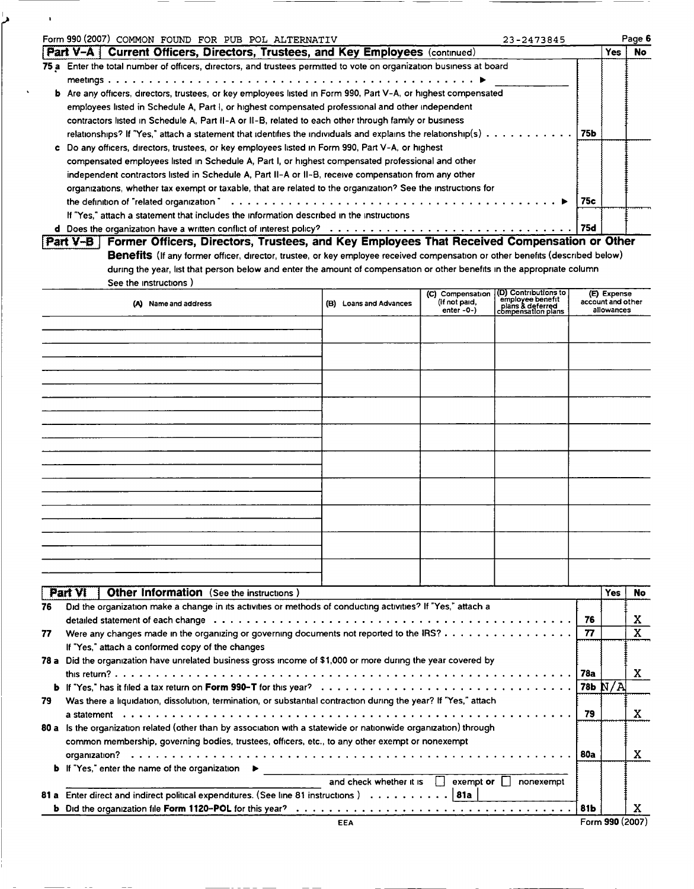| Form 990 (2007) COMMON FOUND FOR PUB POL ALTERNATIV<br>23-2473845                                                     |  |     |     | Page 6 |
|-----------------------------------------------------------------------------------------------------------------------|--|-----|-----|--------|
| <b>Part V-A</b> Current Officers, Directors, Trustees, and Key Employees (continued)                                  |  |     | Yes | No.    |
| 75 a Enter the total number of officers, directors, and trustees permitted to vote on organization business at board  |  |     |     |        |
|                                                                                                                       |  |     |     |        |
| <b>b</b> Are any officers, directors, trustees, or key employees listed in Form 990, Part V-A, or highest compensated |  |     |     |        |
| employees listed in Schedule A, Part I, or highest compensated professional and other independent                     |  |     |     |        |
| contractors listed in Schedule A, Part II-A or II-B, related to each other through family or business                 |  |     |     |        |
| relationships? If "Yes," attach a statement that identifies the individuals and explains the relationship(s) 75b      |  |     |     |        |
| c Do any officers, directors, trustees, or key employees listed in Form 990, Part V-A, or highest                     |  |     |     |        |
| compensated employees listed in Schedule A, Part I, or highest compensated professional and other                     |  |     |     |        |
| independent contractors listed in Schedule A, Part II-A or II-B, receive compensation from any other                  |  |     |     |        |
| organizations, whether tax exempt or taxable, that are related to the organization? See the instructions for          |  |     |     |        |
|                                                                                                                       |  | 75c |     |        |
| If "Yes," attach a statement that includes the information described in the instructions                              |  |     |     |        |
|                                                                                                                       |  | 75d |     |        |

 $\blacksquare$ 

| Part V-B   Former Officers, Directors, Trustees, and Key Employees That Received Compensation or Other                        |
|-------------------------------------------------------------------------------------------------------------------------------|
| Benefits (If any former officer, director, trustee, or key employee received compensation or other benefits (described below) |
| during the year, list that person below and enter the amount of compensation or other benefits in the appropriate column      |
| See the instructions )                                                                                                        |

| (A) Name and address | (B) Loans and Advances | (C) Compensation (D) Contributions to<br>(if not paid, employee benefit<br>enter -0-) clans & deferred<br>compensation plans | (E) Expense<br>account and other<br>allowances |
|----------------------|------------------------|------------------------------------------------------------------------------------------------------------------------------|------------------------------------------------|
|                      |                        |                                                                                                                              |                                                |
|                      |                        |                                                                                                                              |                                                |
|                      |                        |                                                                                                                              |                                                |
|                      |                        |                                                                                                                              |                                                |
|                      |                        |                                                                                                                              |                                                |
|                      |                        |                                                                                                                              |                                                |
|                      |                        |                                                                                                                              |                                                |
|                      |                        |                                                                                                                              |                                                |
|                      |                        |                                                                                                                              |                                                |
|                      |                        |                                                                                                                              |                                                |

|      | Part VI<br><b>Other Information</b> (See the instructions)                                                                                                                                                                     |      | Yes             | No. |
|------|--------------------------------------------------------------------------------------------------------------------------------------------------------------------------------------------------------------------------------|------|-----------------|-----|
| 76   | Did the organization make a change in its activities or methods of conducting activities? If "Yes," attach a                                                                                                                   |      |                 |     |
|      | detailed statement of each change education of the content of the content of the content of the content of each change of the content of the content of the content of the content of the content of the content of the conten | 76   |                 | X   |
| 77   |                                                                                                                                                                                                                                | 77   |                 | X   |
|      | If "Yes," attach a conformed copy of the changes                                                                                                                                                                               |      |                 |     |
|      | 78 a Did the organization have unrelated business gross income of \$1,000 or more during the year covered by                                                                                                                   |      |                 |     |
|      |                                                                                                                                                                                                                                | 78a  |                 | X   |
|      |                                                                                                                                                                                                                                |      |                 |     |
| 79   | Was there a liquidation, dissolution, termination, or substantial contraction during the year? If "Yes," attach                                                                                                                |      |                 |     |
|      |                                                                                                                                                                                                                                | 79   |                 | х   |
|      | 80 a Is the organization related (other than by association with a statewide or nationwide organization) through                                                                                                               |      |                 |     |
|      | common membership, governing bodies, trustees, officers, etc., to any other exempt or nonexempt                                                                                                                                |      |                 |     |
|      | organization?                                                                                                                                                                                                                  | 80a  |                 | X   |
|      | <b>b</b> If "Yes," enter the name of the organization<br>▸                                                                                                                                                                     |      |                 |     |
|      | and check whether it is<br>exempt or<br>nonexempt                                                                                                                                                                              |      |                 |     |
| 81 a | Enter direct and indirect political expenditures. (See line 81 instructions)    81a                                                                                                                                            |      |                 |     |
|      |                                                                                                                                                                                                                                | ∣81Ь |                 | x   |
|      | <b>EEA</b>                                                                                                                                                                                                                     |      | Form 990 (2007) |     |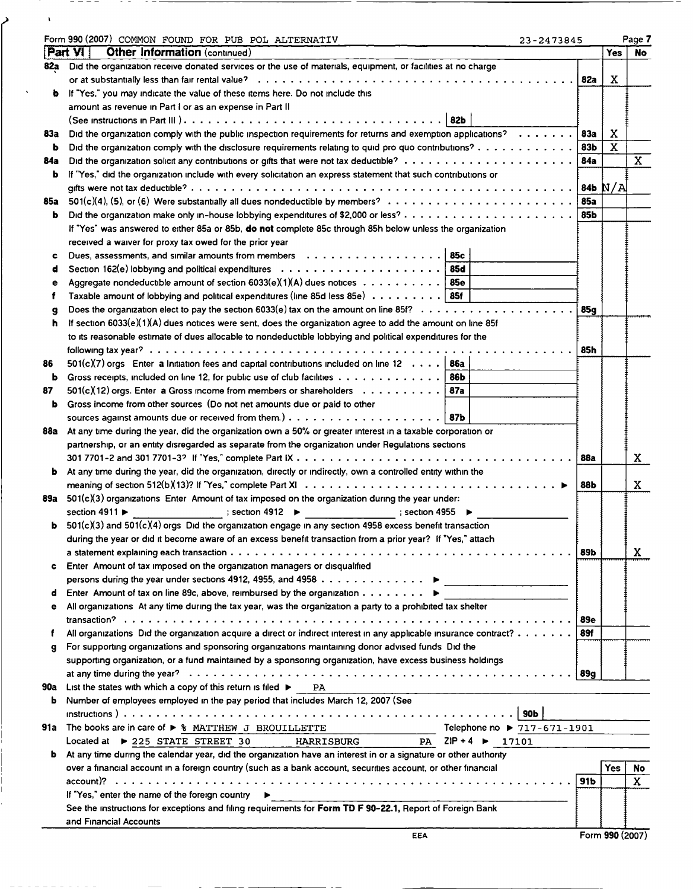|     | Form 990 (2007) COMMON FOUND FOR PUB POL ALTERNATIV                                                                | 23-2473845                  |                   |            | Page 7       |
|-----|--------------------------------------------------------------------------------------------------------------------|-----------------------------|-------------------|------------|--------------|
|     | <b>Other Information (continued)</b><br>Part VI                                                                    |                             |                   | <b>Yes</b> | <b>No</b>    |
| 82a | Did the organization receive donated services or the use of materials, equipment, or facilities at no charge       |                             |                   |            |              |
|     |                                                                                                                    |                             | 82a               | x          |              |
| b   | If "Yes," you may indicate the value of these items here. Do not include this                                      |                             |                   |            |              |
|     | amount as revenue in Part I or as an expense in Part II                                                            |                             |                   |            |              |
|     |                                                                                                                    |                             |                   |            |              |
| 83а | Did the organization comply with the public inspection requirements for returns and exemption applications?        |                             | <b>83a</b><br>83b | x<br>X     |              |
| b   | Did the organization comply with the disclosure requirements relating to quid pro quo contributions?               |                             |                   |            | $\mathbf{x}$ |
| 84a | If "Yes," did the organization include with every solicitation an express statement that such contributions or     |                             | 84a               |            |              |
| b   |                                                                                                                    |                             |                   |            |              |
| 85a |                                                                                                                    |                             | <b>85a</b>        |            |              |
| ь   |                                                                                                                    |                             | 85b               |            |              |
|     | If "Yes" was answered to either 85a or 85b, do not complete 85c through 85h below unless the organization          |                             |                   |            |              |
|     |                                                                                                                    |                             |                   |            |              |
|     | received a waiver for proxy tax owed for the prior year                                                            | 85c                         |                   |            |              |
| c   | Section 162(e) lobbying and political expenditures $\ldots \ldots \ldots \ldots \ldots \ldots \ldots$ 85d          |                             |                   |            |              |
| d   | Aggregate nondeductible amount of section $6033(e)(1)(A)$ dues notices 85e                                         |                             |                   |            |              |
| е   | Taxable amount of lobbying and political expenditures (line 85d less 85e) 85f                                      |                             |                   |            |              |
| f   |                                                                                                                    |                             |                   |            |              |
| g   |                                                                                                                    |                             | 85a               |            |              |
| h   | If section 6033(e)(1)(A) dues notices were sent, does the organization agree to add the amount on line 85f         |                             |                   |            |              |
|     | to its reasonable estimate of dues allocable to nondeductible lobbying and political expenditures for the          |                             |                   |            |              |
|     |                                                                                                                    |                             | 85h               |            |              |
| 86  | $501(c)(7)$ orgs Enter a Initiation fees and capital contributions included on line 12   86a                       |                             |                   |            |              |
| b   | Gross receipts, included on line 12, for public use of club facilities $\dots \dots \dots \dots$                   |                             |                   |            |              |
| 87  | $501(c)(12)$ orgs. Enter a Gross income from members or shareholders $\ldots \ldots \ldots$                        |                             |                   |            |              |
| b   | Gross income from other sources (Do not net amounts due or paid to other                                           |                             |                   |            |              |
|     |                                                                                                                    |                             |                   |            |              |
|     | 88a At any time during the year, did the organization own a 50% or greater interest in a taxable corporation or    |                             |                   |            |              |
|     | partnership, or an entity disregarded as separate from the organization under Regulations sections                 |                             |                   |            |              |
|     |                                                                                                                    |                             | 88a               |            | X            |
| b   | At any time during the year, did the organization, directly or indirectly, own a controlled entity within the      |                             |                   |            |              |
|     |                                                                                                                    |                             | 88Ь               |            | x            |
|     | 89a $501(c)(3)$ organizations Enter Amount of tax imposed on the organization during the year under:               |                             |                   |            |              |
|     | section 4911 ▶ _________________; section 4912 ▶ _____________; section 4955 ▶ _                                   |                             |                   |            |              |
| ь   | $501(c)(3)$ and $501(c)(4)$ orgs Did the organization engage in any section 4958 excess benefit transaction        |                             |                   |            |              |
|     | during the year or did it become aware of an excess benefit transaction from a prior year? If "Yes," attach        |                             |                   |            |              |
|     |                                                                                                                    |                             | 89b               |            | X            |
| c   | Enter Amount of tax imposed on the organization managers or disqualified                                           |                             |                   |            |              |
|     | persons during the year under sections 4912, 4955, and 4958 $\dots \dots \dots \dots \longmapsto$                  |                             |                   |            |              |
| d   | Enter Amount of tax on line 89c, above, reimbursed by the organization $\dots \dots \dots$                         |                             |                   |            |              |
| е   | All organizations At any time during the tax year, was the organization a party to a prohibited tax shelter        |                             |                   |            |              |
|     |                                                                                                                    |                             | i 89e             |            |              |
|     | All organizations Did the organization acquire a direct or indirect interest in any applicable insurance contract? |                             | 89f               |            |              |
| g   | For supporting organizations and sponsoring organizations maintaining donor advised funds Did the                  |                             |                   |            |              |
|     | supporting organization, or a fund maintained by a sponsoring organization, have excess business holdings          |                             |                   |            |              |
|     |                                                                                                                    |                             | 89g               |            |              |
| 90a | List the states with which a copy of this return is filed $\blacktriangleright$ PA                                 |                             |                   |            |              |
| ь   | Number of employees employed in the pay period that includes March 12, 2007 (See                                   |                             |                   |            |              |
|     |                                                                                                                    |                             |                   |            |              |
|     | <b>91a</b> The books are in care of $\triangleright$ % MATTHEW J BROUILLETTE                                       | Telephone no ▶ 717-671-1901 |                   |            |              |
|     | Located at ▶ 225 STATE STREET 30 HARRISBURG PA ZIP +4 ▶ 17101                                                      |                             |                   |            |              |
| ь   | At any time during the calendar year, did the organization have an interest in or a signature or other authority   |                             |                   |            |              |
|     | over a financial account in a foreign country (such as a bank account, securities account, or other financial      |                             |                   | Yes        | No.          |
|     |                                                                                                                    |                             |                   |            | $\mathbf{x}$ |
|     | If "Yes," enter the name of the foreign country $\blacktriangleright$                                              |                             |                   |            |              |
|     | See the instructions for exceptions and filing requirements for Form TD F 90-22.1, Report of Foreign Bank          |                             |                   |            |              |
|     |                                                                                                                    |                             |                   |            |              |
|     | and Financial Accounts                                                                                             |                             |                   |            |              |

 $- - - -$ 

 $\begin{bmatrix} 1 \\ 1 \\ 1 \end{bmatrix}$ 

 $\ddot{\phantom{0}}$ 

<u> 22 22 23 23 23 </u>

 $\sim$ 

- -

 $\cdots$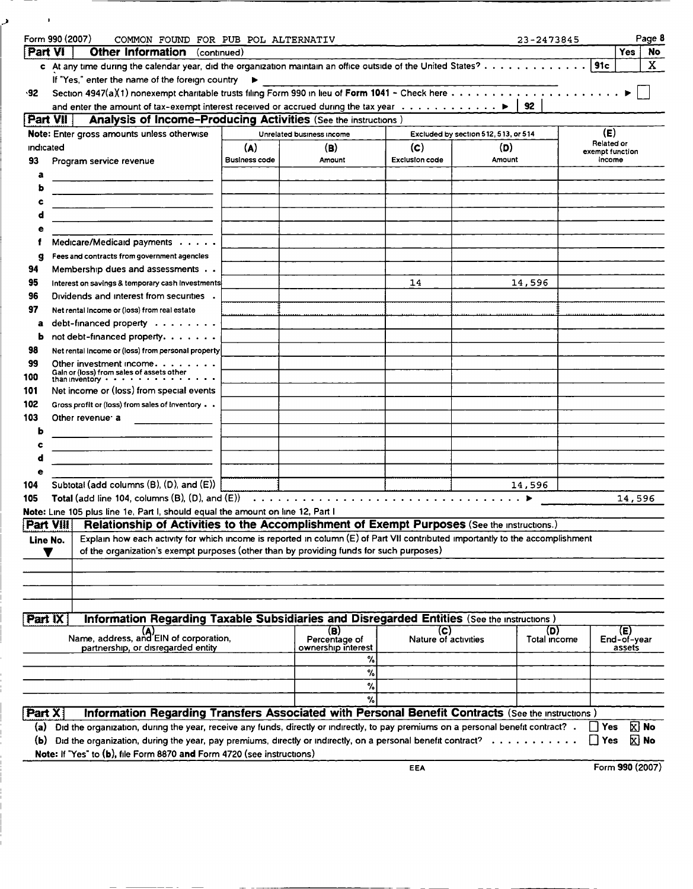| ٠                | Form 990 (2007)                                                                                                                     | COMMON FOUND FOR PUB POL ALTERNATIV                                   |                                     |                       |                                      | 23-2473845   |                   | Page 8                |
|------------------|-------------------------------------------------------------------------------------------------------------------------------------|-----------------------------------------------------------------------|-------------------------------------|-----------------------|--------------------------------------|--------------|-------------------|-----------------------|
| <b>Part VI</b>   | <b>Other Information</b> (continued)                                                                                                |                                                                       |                                     |                       |                                      |              |                   | <b>Yes</b><br>No      |
|                  | c At any time during the calendar year, did the organization maintain an office outside of the United States?                       |                                                                       |                                     |                       |                                      |              | 91c               | X.                    |
|                  | If "Yes," enter the name of the foreign country                                                                                     |                                                                       |                                     |                       |                                      |              |                   |                       |
| $-92$            |                                                                                                                                     |                                                                       |                                     |                       |                                      |              |                   |                       |
|                  | and enter the amount of tax-exempt interest received or accrued during the tax year $\dots \dots \dots \dots$                       |                                                                       |                                     |                       |                                      | 92           |                   |                       |
| <b>Part VII</b>  |                                                                                                                                     |                                                                       |                                     |                       |                                      |              |                   |                       |
|                  |                                                                                                                                     | <b>Analysis of Income-Producing Activities (See the instructions)</b> |                                     |                       |                                      |              |                   |                       |
|                  | Note: Enter gross amounts unless otherwise                                                                                          |                                                                       | Unrelated business income           |                       | Excluded by section 512, 513, or 514 |              | (E)<br>Related or |                       |
| <b>Indicated</b> |                                                                                                                                     | (A)                                                                   | (B)                                 | (c)                   | (D)                                  |              | exempt function   |                       |
| 93               | Program service revenue                                                                                                             | <b>Business code</b>                                                  | Amount                              | <b>Exclusion code</b> | Amount                               |              | income            |                       |
| a                |                                                                                                                                     |                                                                       |                                     |                       |                                      |              |                   |                       |
|                  |                                                                                                                                     |                                                                       |                                     |                       |                                      |              |                   |                       |
|                  |                                                                                                                                     |                                                                       |                                     |                       |                                      |              |                   |                       |
|                  |                                                                                                                                     |                                                                       |                                     |                       |                                      |              |                   |                       |
|                  |                                                                                                                                     |                                                                       |                                     |                       |                                      |              |                   |                       |
|                  | Medicare/Medicaid payments                                                                                                          |                                                                       |                                     |                       |                                      |              |                   |                       |
| g                | Fees and contracts from government agencies                                                                                         |                                                                       |                                     |                       |                                      |              |                   |                       |
| 94               | Membership dues and assessments                                                                                                     |                                                                       |                                     |                       |                                      |              |                   |                       |
| 95               | Interest on savings & temporary cash investments                                                                                    |                                                                       |                                     | 14                    |                                      | 14,596       |                   |                       |
| 96               | Dividends and interest from securities .                                                                                            |                                                                       |                                     |                       |                                      |              |                   |                       |
| 97               | Net rental income or (loss) from real estate                                                                                        |                                                                       |                                     |                       |                                      |              |                   |                       |
| a                | debt-financed property                                                                                                              |                                                                       |                                     |                       |                                      |              |                   |                       |
| ь                | not debt-financed property.                                                                                                         |                                                                       |                                     |                       |                                      |              |                   |                       |
| 98               | Net rental income or (loss) from personal property                                                                                  |                                                                       |                                     |                       |                                      |              |                   |                       |
| 99               | Other investment income. $\ldots$                                                                                                   |                                                                       |                                     |                       |                                      |              |                   |                       |
| 100              | Gain or (loss) from sales of assets other<br>than inventory $\cdot \cdot \cdot \cdot \cdot \cdot \cdot \cdot \cdot$                 |                                                                       |                                     |                       |                                      |              |                   |                       |
|                  | Net income or (loss) from special events                                                                                            |                                                                       |                                     |                       |                                      |              |                   |                       |
| 101              |                                                                                                                                     |                                                                       |                                     |                       |                                      |              |                   |                       |
| 102              | Gross profit or (loss) from sales of inventory                                                                                      |                                                                       |                                     |                       |                                      |              |                   |                       |
| 103              | Other revenue: a                                                                                                                    |                                                                       |                                     |                       |                                      |              |                   |                       |
| b                |                                                                                                                                     |                                                                       |                                     |                       |                                      |              |                   |                       |
|                  |                                                                                                                                     |                                                                       |                                     |                       |                                      |              |                   |                       |
|                  |                                                                                                                                     |                                                                       |                                     |                       |                                      |              |                   |                       |
|                  |                                                                                                                                     |                                                                       |                                     |                       |                                      |              |                   |                       |
| 104              | Subtotal (add columns (B), (D), and (E))                                                                                            |                                                                       |                                     |                       |                                      | 14,596       |                   |                       |
| 105              | Total (add line 104, columns $(B)$ , $(D)$ , and $(E)$ )                                                                            |                                                                       |                                     |                       |                                      |              |                   | 14,596                |
|                  | Note: Line 105 plus line 1e, Part I, should equal the amount on line 12, Part I                                                     |                                                                       |                                     |                       |                                      |              |                   |                       |
| Part VIII        | Relationship of Activities to the Accomplishment of Exempt Purposes (See the Instructions.)                                         |                                                                       |                                     |                       |                                      |              |                   |                       |
| Line No.         | Explain how each activity for which income is reported in column (E) of Part VII contributed importantly to the accomplishment      |                                                                       |                                     |                       |                                      |              |                   |                       |
|                  | of the organization's exempt purposes (other than by providing funds for such purposes)                                             |                                                                       |                                     |                       |                                      |              |                   |                       |
|                  |                                                                                                                                     |                                                                       |                                     |                       |                                      |              |                   |                       |
|                  |                                                                                                                                     |                                                                       |                                     |                       |                                      |              |                   |                       |
|                  |                                                                                                                                     |                                                                       |                                     |                       |                                      |              |                   |                       |
|                  |                                                                                                                                     |                                                                       |                                     |                       |                                      |              |                   |                       |
| Part IX          | Information Regarding Taxable Subsidiaries and Disregarded Entities (See the Instructions)                                          |                                                                       |                                     |                       |                                      |              |                   |                       |
|                  | (A)<br>Name, address, and EIN of corporation,                                                                                       |                                                                       | (B)                                 | (C)                   |                                      | (D)          |                   | (E)                   |
|                  | partnership, or disregarded entity                                                                                                  |                                                                       | Percentage of<br>ownership interest | Nature of activities  |                                      | Total income |                   | End-of-year<br>assets |
|                  |                                                                                                                                     |                                                                       | %                                   |                       |                                      |              |                   |                       |
|                  |                                                                                                                                     |                                                                       | %                                   |                       |                                      |              |                   |                       |
|                  |                                                                                                                                     |                                                                       | %                                   |                       |                                      |              |                   |                       |
|                  |                                                                                                                                     |                                                                       | %                                   |                       |                                      |              |                   |                       |
| Part X           | Information Regarding Transfers Associated with Personal Benefit Contracts (See the Instructions)                                   |                                                                       |                                     |                       |                                      |              |                   |                       |
|                  |                                                                                                                                     |                                                                       |                                     |                       |                                      |              |                   |                       |
| (a) -            | Did the organization, during the year, receive any funds, directly or indirectly, to pay premiums on a personal benefit contract? . |                                                                       |                                     |                       |                                      |              | Yes               | $\mathbf{X}$ No       |
| (b)              | Did the organization, during the year, pay premiums, directly or indirectly, on a personal benefit contract? $\ldots \ldots$        |                                                                       |                                     |                       |                                      |              | Yes               | $\Sigma$ No           |
|                  | Note: If "Yes" to (b), file Form 8870 and Form 4720 (see instructions)                                                              |                                                                       |                                     |                       |                                      |              |                   |                       |
|                  |                                                                                                                                     |                                                                       |                                     | EEA                   |                                      |              |                   | Form 990 (2007)       |

 $\mathbf{z}$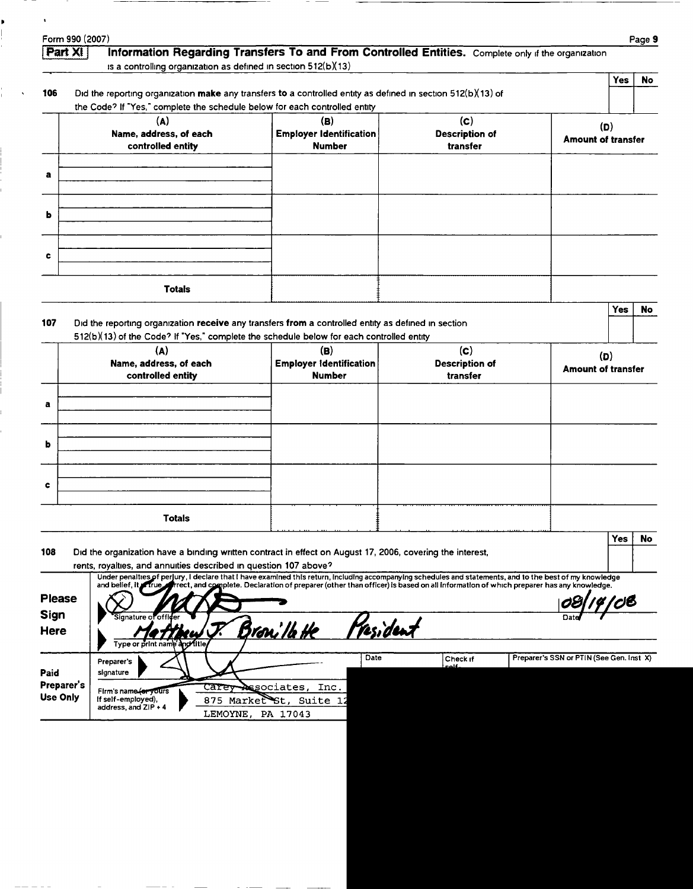| .-ัorm 990 (2007` | Page 5 |
|-------------------|--------|
|                   |        |

Þ

## **Part XI Information Regarding Transfers To and From Controlled Entities.** Complete only if the organization

is a controlling organization as defined in section 512(b)(13)

## 106 Did the reporting organization make any transfers to a controlled entity as defined in section 512(b)(13) of

|              | the Code? If "Yes," complete the schedule below for each controlled entity |                                                        |                                          |                                  |
|--------------|----------------------------------------------------------------------------|--------------------------------------------------------|------------------------------------------|----------------------------------|
|              | (A)<br>Name, address, of each<br>controlled entity                         | (B)<br><b>Employer Identification</b><br><b>Number</b> | (c)<br><b>Description of</b><br>transfer | (D)<br><b>Amount of transfer</b> |
| a            |                                                                            |                                                        |                                          |                                  |
| Ы            |                                                                            |                                                        |                                          |                                  |
| $\mathbf{c}$ |                                                                            |                                                        |                                          |                                  |
|              | <b>Totals</b>                                                              |                                                        |                                          |                                  |

|  | res I No |  |
|--|----------|--|
|  |          |  |

Yes No

| 107 | Did the reporting organization receive any transfers from a controlled entity as defined in section |
|-----|-----------------------------------------------------------------------------------------------------|
|     | $512(b)(13)$ of the Code? If "Yes," complete the schedule below for each controlled entity          |

|             | (A)<br>Name, address, of each<br>controlled entity | (B)<br>$\mid$ Employer identification $\mid$<br><b>Number</b> | (c)<br><b>Description of</b><br>transfer | (D)<br><b>Amount of transfer</b> |
|-------------|----------------------------------------------------|---------------------------------------------------------------|------------------------------------------|----------------------------------|
| a           |                                                    |                                                               |                                          |                                  |
| b           |                                                    |                                                               |                                          |                                  |
| $\mathbf c$ |                                                    |                                                               |                                          |                                  |
|             | <b>Totals</b>                                      |                                                               |                                          |                                  |

108 Did the organization have a binding written contract in effect on August 17, 2006, covering the interest,

|                               |                                                                       | rents, royalties, and annuities described in question 107 above?                                                                                                                                                                                                                                                  |           |                   |                                          |
|-------------------------------|-----------------------------------------------------------------------|-------------------------------------------------------------------------------------------------------------------------------------------------------------------------------------------------------------------------------------------------------------------------------------------------------------------|-----------|-------------------|------------------------------------------|
| <b>Please</b><br>Sign         | Signature of officer                                                  | Under penalties of perlury, I declare that I have examined this return, including accompanying schedules and statements, and to the best of my knowledge<br>and belief, it rue freet, and complete. Declaration of preparer (other than officer) is based on all information of which preparer has any knowledge. |           |                   | 08/14/08<br>Date                         |
| Here                          | Type or print name and fitle                                          | <u>Bron'Th He</u>                                                                                                                                                                                                                                                                                                 | President |                   |                                          |
| Paid                          | Preparer's<br>signature                                               |                                                                                                                                                                                                                                                                                                                   | Date      | Check if<br>colf. | Preparer's SSN or PTIN (See Gen. Inst X) |
| Preparer's<br><b>Use Only</b> | Firm's name for yours<br>if self-employed),<br>address, and $ZIP + 4$ | Carey Associates,<br>Inc.<br>875 Market St, Suite 12<br>LEMOYNE, PA 17043                                                                                                                                                                                                                                         |           |                   |                                          |

|--|--|

Yes | No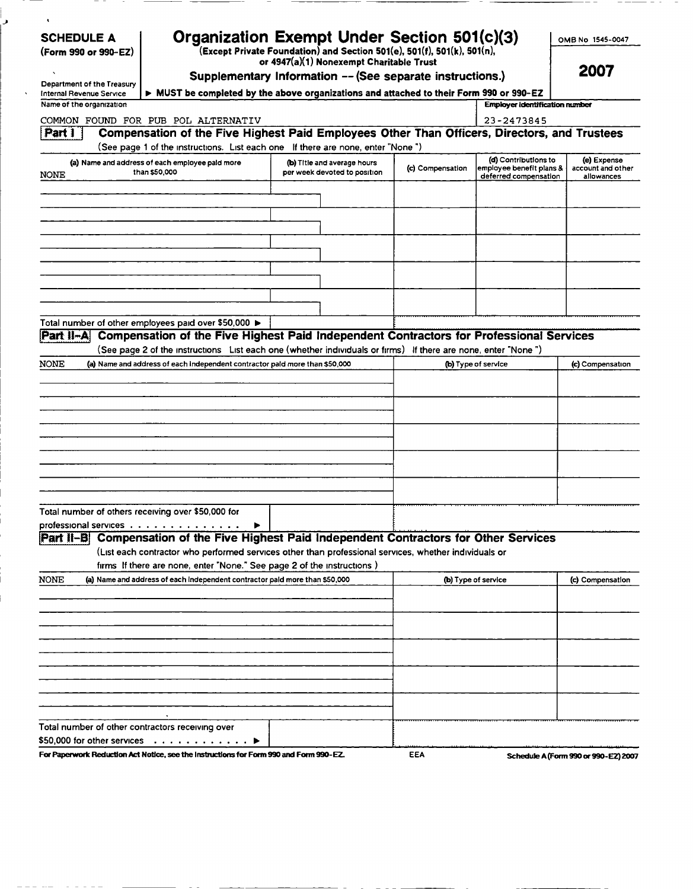| <b>SCHEDULE A</b>                                                                                                                                                                                          |                                                                                                                                                                                           | Organization Exempt Under Section 501(c)(3)                                                                                           |                  |                                                  | OMB No 1545-0047                 |
|------------------------------------------------------------------------------------------------------------------------------------------------------------------------------------------------------------|-------------------------------------------------------------------------------------------------------------------------------------------------------------------------------------------|---------------------------------------------------------------------------------------------------------------------------------------|------------------|--------------------------------------------------|----------------------------------|
| (Form 990 or 990-EZ)                                                                                                                                                                                       |                                                                                                                                                                                           | $\tilde{f}(\text{Except Private Foundation})$ and Section 501(e), 501(f), 501(k), 501(n),<br>or 4947(a)(1) Nonexempt Charitable Trust |                  |                                                  | 2007                             |
| Department of the Treasury                                                                                                                                                                                 |                                                                                                                                                                                           | Supplementary Information -- (See separate instructions.)                                                                             |                  |                                                  |                                  |
| Internal Revenue Service                                                                                                                                                                                   | MUST be completed by the above organizations and attached to their Form 990 or 990-EZ                                                                                                     |                                                                                                                                       |                  |                                                  |                                  |
| Name of the organization                                                                                                                                                                                   |                                                                                                                                                                                           |                                                                                                                                       |                  | <b>Employer identification number</b>            |                                  |
| Part 1                                                                                                                                                                                                     | COMMON FOUND FOR PUB POL ALTERNATIV<br>Compensation of the Five Highest Paid Employees Other Than Officers, Directors, and Trustees                                                       |                                                                                                                                       |                  | 23-2473845                                       |                                  |
|                                                                                                                                                                                                            | (See page 1 of the instructions. List each one If there are none, enter "None")                                                                                                           |                                                                                                                                       |                  |                                                  |                                  |
| <b>NONE</b>                                                                                                                                                                                                | (a) Name and address of each employee paid more<br>than \$50,000                                                                                                                          | (b) Title and average hours<br>per week devoted to position                                                                           | (c) Compensation | (d) Contributions to<br>employee benefit plans & | (e) Expense<br>account and other |
|                                                                                                                                                                                                            |                                                                                                                                                                                           |                                                                                                                                       |                  | deferred compensation                            | allowances                       |
|                                                                                                                                                                                                            |                                                                                                                                                                                           |                                                                                                                                       |                  |                                                  |                                  |
|                                                                                                                                                                                                            |                                                                                                                                                                                           |                                                                                                                                       |                  |                                                  |                                  |
|                                                                                                                                                                                                            |                                                                                                                                                                                           |                                                                                                                                       |                  |                                                  |                                  |
|                                                                                                                                                                                                            |                                                                                                                                                                                           |                                                                                                                                       |                  |                                                  |                                  |
|                                                                                                                                                                                                            |                                                                                                                                                                                           |                                                                                                                                       |                  |                                                  |                                  |
|                                                                                                                                                                                                            |                                                                                                                                                                                           |                                                                                                                                       |                  |                                                  |                                  |
|                                                                                                                                                                                                            |                                                                                                                                                                                           |                                                                                                                                       |                  |                                                  |                                  |
|                                                                                                                                                                                                            |                                                                                                                                                                                           |                                                                                                                                       |                  |                                                  |                                  |
|                                                                                                                                                                                                            | Total number of other employees paid over \$50,000 ▶                                                                                                                                      |                                                                                                                                       |                  |                                                  |                                  |
| Part II-A                                                                                                                                                                                                  | Compensation of the Five Highest Paid Independent Contractors for Professional Services                                                                                                   |                                                                                                                                       |                  |                                                  |                                  |
|                                                                                                                                                                                                            | (See page 2 of the instructions List each one (whether individuals or firms) If there are none, enter "None")                                                                             |                                                                                                                                       |                  |                                                  |                                  |
|                                                                                                                                                                                                            |                                                                                                                                                                                           |                                                                                                                                       |                  |                                                  |                                  |
|                                                                                                                                                                                                            | (a) Name and address of each independent contractor paid more than \$50,000                                                                                                               |                                                                                                                                       |                  |                                                  | (c) Compensation                 |
|                                                                                                                                                                                                            |                                                                                                                                                                                           |                                                                                                                                       |                  | (b) Type of service                              |                                  |
|                                                                                                                                                                                                            |                                                                                                                                                                                           |                                                                                                                                       |                  |                                                  |                                  |
|                                                                                                                                                                                                            |                                                                                                                                                                                           |                                                                                                                                       |                  |                                                  |                                  |
|                                                                                                                                                                                                            |                                                                                                                                                                                           |                                                                                                                                       |                  |                                                  |                                  |
|                                                                                                                                                                                                            |                                                                                                                                                                                           |                                                                                                                                       |                  |                                                  |                                  |
|                                                                                                                                                                                                            |                                                                                                                                                                                           |                                                                                                                                       |                  |                                                  |                                  |
|                                                                                                                                                                                                            |                                                                                                                                                                                           |                                                                                                                                       |                  |                                                  |                                  |
|                                                                                                                                                                                                            |                                                                                                                                                                                           |                                                                                                                                       |                  |                                                  |                                  |
|                                                                                                                                                                                                            |                                                                                                                                                                                           |                                                                                                                                       |                  |                                                  |                                  |
|                                                                                                                                                                                                            |                                                                                                                                                                                           |                                                                                                                                       |                  |                                                  |                                  |
|                                                                                                                                                                                                            |                                                                                                                                                                                           |                                                                                                                                       |                  |                                                  |                                  |
|                                                                                                                                                                                                            |                                                                                                                                                                                           |                                                                                                                                       |                  |                                                  |                                  |
|                                                                                                                                                                                                            | Compensation of the Five Highest Paid Independent Contractors for Other Services<br>(List each contractor who performed services other than professional services, whether individuals or |                                                                                                                                       |                  |                                                  |                                  |
|                                                                                                                                                                                                            |                                                                                                                                                                                           |                                                                                                                                       |                  |                                                  |                                  |
|                                                                                                                                                                                                            | firms If there are none, enter "None." See page 2 of the instructions)<br>(a) Name and address of each independent contractor paid more than \$50,000                                     |                                                                                                                                       |                  | <b>(b)</b> Type of service                       | (c) Compensation                 |
|                                                                                                                                                                                                            |                                                                                                                                                                                           |                                                                                                                                       |                  |                                                  |                                  |
|                                                                                                                                                                                                            |                                                                                                                                                                                           |                                                                                                                                       |                  |                                                  |                                  |
|                                                                                                                                                                                                            |                                                                                                                                                                                           |                                                                                                                                       |                  |                                                  |                                  |
|                                                                                                                                                                                                            |                                                                                                                                                                                           |                                                                                                                                       |                  |                                                  |                                  |
|                                                                                                                                                                                                            |                                                                                                                                                                                           |                                                                                                                                       |                  |                                                  |                                  |
|                                                                                                                                                                                                            |                                                                                                                                                                                           |                                                                                                                                       |                  |                                                  |                                  |
|                                                                                                                                                                                                            |                                                                                                                                                                                           |                                                                                                                                       |                  |                                                  |                                  |
|                                                                                                                                                                                                            |                                                                                                                                                                                           |                                                                                                                                       |                  |                                                  |                                  |
|                                                                                                                                                                                                            |                                                                                                                                                                                           |                                                                                                                                       |                  |                                                  |                                  |
|                                                                                                                                                                                                            |                                                                                                                                                                                           |                                                                                                                                       |                  |                                                  |                                  |
| NONE<br>Total number of others receiving over \$50,000 for<br>professional services $\ldots \ldots \ldots \ldots \ldots$<br>iPart II−BI<br><b>NONE</b><br>Total number of other contractors receiving over | $\$50,000$ for other services $\quad .\ .\ .\ .\ .\ .\ .\ .\ .\ .\ \blacktriangleright$                                                                                                   |                                                                                                                                       |                  |                                                  |                                  |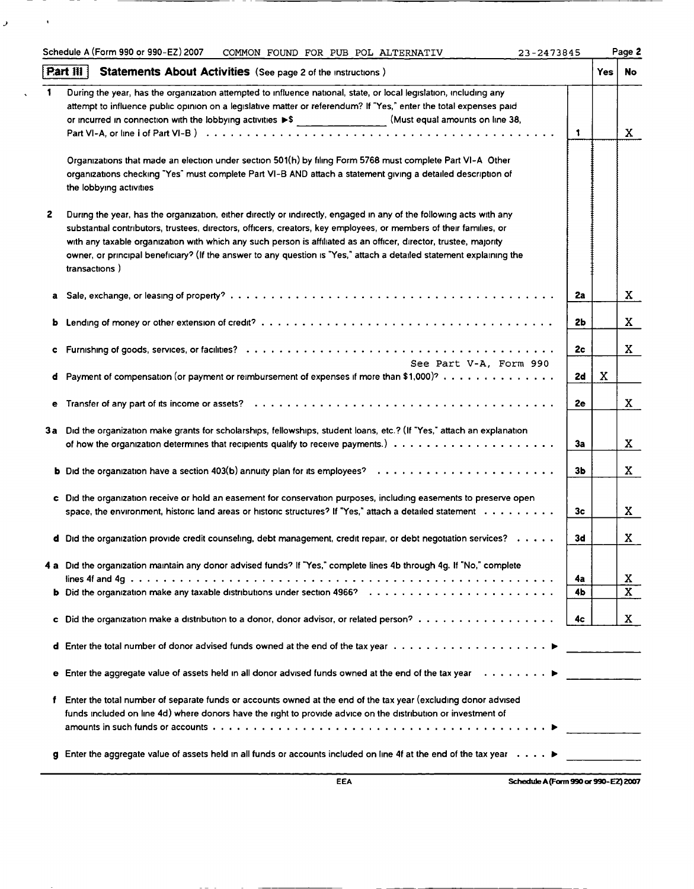|    | Part $\mathbb{H}$<br><b>Statements About Activities</b> (See page 2 of the instructions)                                     |    | Yes         | No                      |
|----|------------------------------------------------------------------------------------------------------------------------------|----|-------------|-------------------------|
| -1 | During the year, has the organization attempted to influence national, state, or local legislation, including any            |    |             |                         |
|    | attempt to influence public opinion on a legislative matter or referendum? If "Yes," enter the total expenses paid           |    |             |                         |
|    | or incurred in connection with the lobbying activities $\blacktriangleright$ \$ (Must equal amounts on line 38,              |    |             |                         |
|    |                                                                                                                              | 1  |             | X.                      |
|    |                                                                                                                              |    |             |                         |
|    | Organizations that made an election under section 501(h) by filing Form 5768 must complete Part VI-A Other                   |    |             |                         |
|    | organizations checking "Yes" must complete Part VI-B AND attach a statement giving a detailed description of                 |    |             |                         |
|    | the lobbying activities                                                                                                      |    |             |                         |
| 2  | During the year, has the organization, either directly or indirectly, engaged in any of the following acts with any          |    |             |                         |
|    | substantial contributors, trustees, directors, officers, creators, key employees, or members of their families, or           |    |             |                         |
|    | with any taxable organization with which any such person is affiliated as an officer, director, trustee, majority            |    |             |                         |
|    | owner, or principal beneficiary? (If the answer to any question is "Yes," attach a detailed statement explaining the         |    |             |                         |
|    | transactions)                                                                                                                |    |             |                         |
|    |                                                                                                                              | 2a |             | X                       |
|    |                                                                                                                              |    |             |                         |
| b  |                                                                                                                              | 2b |             | X                       |
|    |                                                                                                                              | 2c |             | X                       |
| С  | See Part V-A, Form 990                                                                                                       |    |             |                         |
| đ  | Payment of compensation (or payment or reimbursement of expenses if more than \$1,000)?                                      | 2d | $\mathbf X$ |                         |
|    |                                                                                                                              |    |             |                         |
|    |                                                                                                                              | 2e |             | X                       |
|    | 3a Did the organization make grants for scholarships, fellowships, student loans, etc.? (If "Yes," attach an explanation     |    |             |                         |
|    | of how the organization determines that recipients qualify to receive payments.) $\ldots \ldots \ldots \ldots \ldots \ldots$ | 3a |             | X                       |
|    |                                                                                                                              | Зb |             | X                       |
|    |                                                                                                                              |    |             |                         |
|    | c Did the organization receive or hold an easement for conservation purposes, including easements to preserve open           |    |             |                         |
|    | space, the environment, historic land areas or historic structures? If "Yes," attach a detailed statement                    | 3c |             | X                       |
|    | d Did the organization provide credit counseling, debt management, credit repair, or debt negotiation services?              | 3d |             | X                       |
|    | 4 a Did the organization maintain any donor advised funds? If "Yes," complete lines 4b through 4g. If "No," complete         |    |             |                         |
|    |                                                                                                                              | 4a |             | X                       |
|    |                                                                                                                              | 4b |             | $\overline{\mathbf{x}}$ |
|    | c Did the organization make a distribution to a donor, donor advisor, or related person?                                     | 4c |             | X.                      |
|    |                                                                                                                              |    |             |                         |
|    |                                                                                                                              |    |             |                         |
|    | e Enter the aggregate value of assets held in all donor advised funds owned at the end of the tax year $\dots \dots$         |    |             |                         |
| f  | Enter the total number of separate funds or accounts owned at the end of the tax year (excluding donor advised               |    |             |                         |
|    | funds included on line 4d) where donors have the right to provide advice on the distribution or investment of                |    |             |                         |
|    |                                                                                                                              |    |             |                         |
|    | g Enter the aggregate value of assets held in all funds or accounts included on line 4f at the end of the tax year $\dots$ . |    |             |                         |

.

 $\mathbf{y} = (x_1, \ldots, x_n)$ 

 $\sim$ 

--

E EA Schedule A (Form 990 or 990- EZ) 2007

 $\sim$   $-$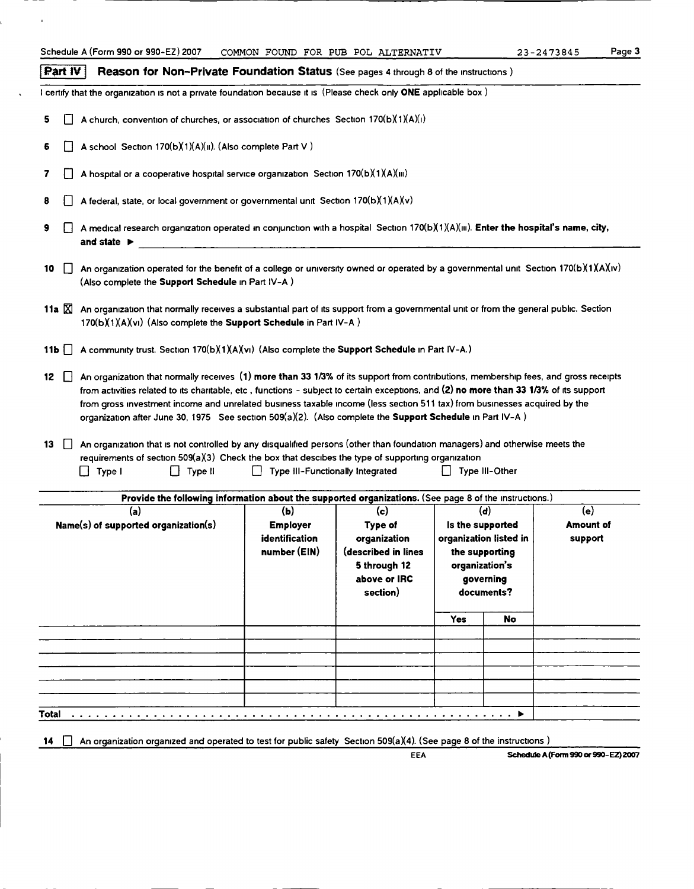|                                 | Schedule A (Form 990 or 990-EZ) 2007                                                                                                                                                                                                                                                                                                                                                                                                                                                                                                                                                                                                        | COMMON FOUND FOR PUB POL ALTERNATIV                      |                                                                                                   |                |                                                                                                | 23-2473845                         | Page 3 |
|---------------------------------|---------------------------------------------------------------------------------------------------------------------------------------------------------------------------------------------------------------------------------------------------------------------------------------------------------------------------------------------------------------------------------------------------------------------------------------------------------------------------------------------------------------------------------------------------------------------------------------------------------------------------------------------|----------------------------------------------------------|---------------------------------------------------------------------------------------------------|----------------|------------------------------------------------------------------------------------------------|------------------------------------|--------|
| <b>Part IV</b>                  | Reason for Non-Private Foundation Status (See pages 4 through 8 of the instructions)                                                                                                                                                                                                                                                                                                                                                                                                                                                                                                                                                        |                                                          |                                                                                                   |                |                                                                                                |                                    |        |
|                                 | I certify that the organization is not a private foundation because it is (Please check only ONE applicable box)                                                                                                                                                                                                                                                                                                                                                                                                                                                                                                                            |                                                          |                                                                                                   |                |                                                                                                |                                    |        |
|                                 | A church, convention of churches, or association of churches Section $170(b)(1)(A)(I)$                                                                                                                                                                                                                                                                                                                                                                                                                                                                                                                                                      |                                                          |                                                                                                   |                |                                                                                                |                                    |        |
|                                 | A school Section 170(b)(1)(A)(ii). (Also complete Part V)                                                                                                                                                                                                                                                                                                                                                                                                                                                                                                                                                                                   |                                                          |                                                                                                   |                |                                                                                                |                                    |        |
|                                 | A hospital or a cooperative hospital service organization Section $170(b)(1)(A)(m)$                                                                                                                                                                                                                                                                                                                                                                                                                                                                                                                                                         |                                                          |                                                                                                   |                |                                                                                                |                                    |        |
|                                 | A federal, state, or local government or governmental unit Section 170(b)(1)(A)(v)                                                                                                                                                                                                                                                                                                                                                                                                                                                                                                                                                          |                                                          |                                                                                                   |                |                                                                                                |                                    |        |
| and state $\blacktriangleright$ | A medical research organization operated in conjunction with a hospital Section 170(b)(1)(A)(iii). Enter the hospital's name, city,                                                                                                                                                                                                                                                                                                                                                                                                                                                                                                         |                                                          |                                                                                                   |                |                                                                                                |                                    |        |
| $\perp$<br>10                   | An organization operated for the benefit of a college or university owned or operated by a governmental unit Section 170(b)(1)(A)(iv)<br>(Also complete the Support Schedule in Part IV-A)                                                                                                                                                                                                                                                                                                                                                                                                                                                  |                                                          |                                                                                                   |                |                                                                                                |                                    |        |
| 11a $X$                         | An organization that normally receives a substantial part of its support from a governmental unit or from the general public. Section<br>170(b)(1)(A)(vi) (Also complete the Support Schedule in Part IV-A)                                                                                                                                                                                                                                                                                                                                                                                                                                 |                                                          |                                                                                                   |                |                                                                                                |                                    |        |
| 11b $\Box$                      | A community trust. Section 170(b)(1)(A)(vi) (Also complete the Support Schedule in Part IV-A.)                                                                                                                                                                                                                                                                                                                                                                                                                                                                                                                                              |                                                          |                                                                                                   |                |                                                                                                |                                    |        |
| 13<br>$\Box$ Type I             | from activities related to its charitable, etc., functions - subject to certain exceptions, and (2) no more than 33 1/3% of its support<br>from gross investment income and unrelated business taxable income (less section 511 tax) from businesses acquired by the<br>organization after June 30, 1975 See section 509(a)(2). (Also complete the Support Schedule in Part IV-A)<br>An organization that is not controlled by any disqualified persons (other than foundation managers) and otherwise meets the<br>requirements of section 509( $a$ )(3) Check the box that descibes the type of supporting organization<br>$\Box$ Type II | Type III-Functionally Integrated                         |                                                                                                   |                | Type III-Other                                                                                 |                                    |        |
|                                 | Provide the following information about the supported organizations. (See page 8 of the instructions.)                                                                                                                                                                                                                                                                                                                                                                                                                                                                                                                                      |                                                          |                                                                                                   |                |                                                                                                |                                    |        |
|                                 | (a)<br>Name(s) of supported organization(s)                                                                                                                                                                                                                                                                                                                                                                                                                                                                                                                                                                                                 | (b)<br><b>Employer</b><br>identification<br>number (EIN) | (c)<br>Type of<br>organization<br>(described in lines<br>5 through 12<br>above or IRC<br>section) | organization's | (d)<br>Is the supported<br>organization listed in<br>the supporting<br>governing<br>documents? | (e)<br><b>Amount of</b><br>support |        |
|                                 |                                                                                                                                                                                                                                                                                                                                                                                                                                                                                                                                                                                                                                             |                                                          |                                                                                                   | <b>Yes</b>     | No                                                                                             |                                    |        |
|                                 |                                                                                                                                                                                                                                                                                                                                                                                                                                                                                                                                                                                                                                             |                                                          |                                                                                                   |                |                                                                                                |                                    |        |
|                                 |                                                                                                                                                                                                                                                                                                                                                                                                                                                                                                                                                                                                                                             |                                                          |                                                                                                   |                |                                                                                                |                                    |        |
|                                 |                                                                                                                                                                                                                                                                                                                                                                                                                                                                                                                                                                                                                                             |                                                          |                                                                                                   |                |                                                                                                |                                    |        |
|                                 |                                                                                                                                                                                                                                                                                                                                                                                                                                                                                                                                                                                                                                             |                                                          |                                                                                                   |                |                                                                                                |                                    |        |
| Total                           |                                                                                                                                                                                                                                                                                                                                                                                                                                                                                                                                                                                                                                             |                                                          |                                                                                                   |                |                                                                                                |                                    |        |
|                                 | An organization organized and operated to test for public safety Section 509( $a$ )(4). (See page 8 of the instructions)                                                                                                                                                                                                                                                                                                                                                                                                                                                                                                                    |                                                          |                                                                                                   |                |                                                                                                |                                    |        |

 $\mathbf{r}$ 

 $\sim 10$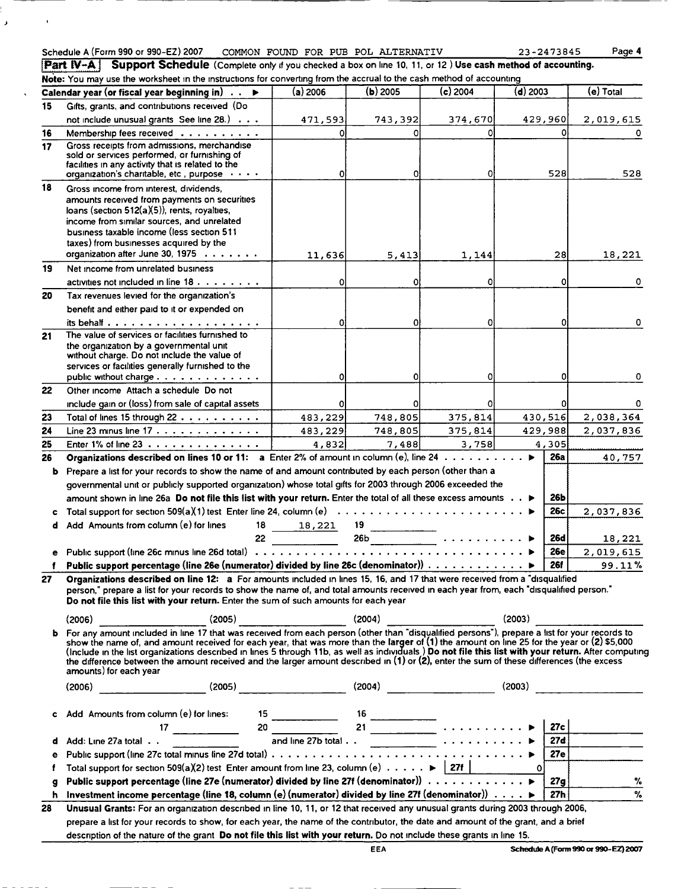## Schedule A (Form 990 or 990-EZ) 2007 COMMON FOUND FOR PUB POL ALTERNATIV 23-2473845 Page 4

 $\bar{\pmb{z}}$ 

 $\bar{\mathbf{r}}$ 

Part IV-A. Support Schedule (Complete only if you checked a box on line 10, 11, or 12) Use cash method of accounting.

|           | Note: You may use the worksheet in the instructions for converting from the accrual to the cash method of accounting                                                                                                                                                                                |          |            |                                                               |                 |                         |
|-----------|-----------------------------------------------------------------------------------------------------------------------------------------------------------------------------------------------------------------------------------------------------------------------------------------------------|----------|------------|---------------------------------------------------------------|-----------------|-------------------------|
|           | Calendar year (or fiscal year beginning in) $\ldots \blacktriangleright$                                                                                                                                                                                                                            | (a) 2006 | $(b)$ 2005 | $(c)$ 2004                                                    | $(d)$ 2003      | (e) Total               |
| 15        | Gifts, grants, and contributions received (Do                                                                                                                                                                                                                                                       |          |            |                                                               |                 |                         |
|           | not include unusual grants See line 28.)                                                                                                                                                                                                                                                            | 471,593  | 743,392    | 374,670                                                       | 429,960         | 2,019,615               |
| 16        | Membership fees received                                                                                                                                                                                                                                                                            | 0        | ΩI         | 0                                                             |                 | ΩI                      |
| 17        | Gross receipts from admissions, merchandise<br>sold or services performed, or furnishing of                                                                                                                                                                                                         |          |            |                                                               |                 |                         |
|           | facilities in any activity that is related to the                                                                                                                                                                                                                                                   |          |            |                                                               |                 |                         |
|           | organization's charitable, etc., purpose                                                                                                                                                                                                                                                            | $\Omega$ | 0l         | 0l                                                            | 528             | 528                     |
| 18        | Gross income from interest, dividends,                                                                                                                                                                                                                                                              |          |            |                                                               |                 |                         |
|           | amounts received from payments on securities                                                                                                                                                                                                                                                        |          |            |                                                               |                 |                         |
|           | loans (section $512(a)(5)$ ), rents, royalties,<br>income from similar sources, and unrelated                                                                                                                                                                                                       |          |            |                                                               |                 |                         |
|           | business taxable income (less section 511                                                                                                                                                                                                                                                           |          |            |                                                               |                 |                         |
|           | taxes) from businesses acquired by the                                                                                                                                                                                                                                                              |          |            |                                                               |                 |                         |
|           | organization after June 30, 1975                                                                                                                                                                                                                                                                    | 11,636   | 5,413      | 1,144                                                         | 281             | 18,221                  |
| 19        | Net income from unrelated business                                                                                                                                                                                                                                                                  |          |            |                                                               |                 |                         |
|           | activities not included in line 18.                                                                                                                                                                                                                                                                 | $\Omega$ | 0          | O                                                             |                 | Οl<br>0                 |
| 20        | Tax revenues levied for the organization's                                                                                                                                                                                                                                                          |          |            |                                                               |                 |                         |
|           | benefit and either paid to it or expended on                                                                                                                                                                                                                                                        |          |            |                                                               |                 |                         |
|           |                                                                                                                                                                                                                                                                                                     |          | O          | $\Omega$                                                      |                 | ٥l<br>0                 |
| 21        | The value of services or facilities furnished to                                                                                                                                                                                                                                                    |          |            |                                                               |                 |                         |
|           | the organization by a governmental unit                                                                                                                                                                                                                                                             |          |            |                                                               |                 |                         |
|           | without charge. Do not include the value of<br>services or facilities generally furnished to the                                                                                                                                                                                                    |          |            |                                                               |                 |                         |
|           | public without charge                                                                                                                                                                                                                                                                               |          | 0          | $\Omega$                                                      |                 | οI<br>0                 |
| 22        | Other income Attach a schedule Do not                                                                                                                                                                                                                                                               |          |            |                                                               |                 |                         |
|           | include gain or (loss) from sale of capital assets                                                                                                                                                                                                                                                  |          | 0          | 0                                                             |                 | 0l<br>0                 |
| 23        | Total of lines 15 through 22                                                                                                                                                                                                                                                                        | 483,229  | 748,805    | 375,814                                                       | 430,516         | 2,038,364               |
| 24        | Line 23 minus line 17                                                                                                                                                                                                                                                                               | 483,229  | 748,805    | 375,814                                                       | 429,988         | 2,037,836               |
| 25        | Enter 1% of line 23                                                                                                                                                                                                                                                                                 | 4,832    | 7,488      | 3,758                                                         | 4,305           |                         |
| 26        | Organizations described on lines 10 or 11: a Enter 2% of amount in column (e), line 24                                                                                                                                                                                                              |          |            |                                                               | <b>26a</b><br>ь | 40,757                  |
| b         | Prepare a list for your records to show the name of and amount contributed by each person (other than a                                                                                                                                                                                             |          |            |                                                               |                 |                         |
|           | governmental unit or publicly supported organization) whose total gifts for 2003 through 2006 exceeded the                                                                                                                                                                                          |          |            |                                                               |                 |                         |
|           | amount shown in line 26a Do not file this list with your return. Enter the total of all these excess amounts ▶                                                                                                                                                                                      |          |            |                                                               | 26Ь             |                         |
| c         |                                                                                                                                                                                                                                                                                                     |          |            |                                                               | 26c             | 2,037,836               |
| d         | Add Amounts from column (e) for lines<br>18                                                                                                                                                                                                                                                         | 18,221   | 19         |                                                               |                 |                         |
|           | 22 <sub>2</sub>                                                                                                                                                                                                                                                                                     |          |            | $26b$ $\overbrace{\hspace{2.5cm}}$ $\cdots$ $\cdots$ $\cdots$ | 26d             | 18,221                  |
|           |                                                                                                                                                                                                                                                                                                     |          |            |                                                               | <b>26e</b>      | 2,019,615               |
|           | Public support percentage (line 26e (numerator) divided by line 26c (denominator))                                                                                                                                                                                                                  |          |            |                                                               | <b>26f</b>      | 99.11%                  |
| 27 -      | Organizations described on line 12: a For amounts included in lines 15, 16, and 17 that were received from a "disqualified                                                                                                                                                                          |          |            |                                                               |                 |                         |
|           | person," prepare a list for your records to show the name of, and total amounts received in each year from, each "disqualified person."                                                                                                                                                             |          |            |                                                               |                 |                         |
|           | Do not file this list with your return. Enter the sum of such amounts for each year                                                                                                                                                                                                                 |          |            |                                                               |                 |                         |
|           |                                                                                                                                                                                                                                                                                                     |          |            |                                                               |                 |                         |
| b         | (2006) (2006) (2005) (2005) (2004) (2004) (2006) (2003) (2003) (2008) (2008) (2008) (2009) (2009) (2009) (2009) (2009) (2009) (2009) (2009) (2009) (2009) (2009) (2009) (2009) (2009) (2009) (2009) (2009) (2009) (2009) (2009                                                                      |          |            |                                                               |                 |                         |
|           | show the name of, and amount received for each year, that was more than the larger of (1) the amount on line 25 for the year or (2) \$5,000<br>(Include in the list organizations described in lines 5 through 11b, as well as individuals) Do not file this list with your return. After computing |          |            |                                                               |                 |                         |
|           | the difference between the amount received and the larger amount described in $(1)$ or $(2)$ , enter the sum of these differences (the excess                                                                                                                                                       |          |            |                                                               |                 |                         |
|           | amounts) for each year                                                                                                                                                                                                                                                                              |          |            |                                                               |                 |                         |
|           | $(2006)$ (2006) (2005) (2005) (2004) (2004) (2004) (2003) (2003)                                                                                                                                                                                                                                    |          |            |                                                               |                 |                         |
|           |                                                                                                                                                                                                                                                                                                     |          |            |                                                               |                 |                         |
|           | c Add Amounts from column (e) for lines:<br>$\begin{array}{ccc}\n 15 & 16 & \cdots & 18 \\  & 17 & \cdots & 20 & 21 & \cdots & 18 \\ \vdots & \vdots & \vdots & \ddots & \vdots & \ddots & \vdots \\  & \text{and line 27b total .} & \cdots & \cdots & \cdots & \bullet\n\end{array}$              |          |            |                                                               |                 |                         |
|           |                                                                                                                                                                                                                                                                                                     |          |            |                                                               |                 | 27c $\vert$ ___         |
|           |                                                                                                                                                                                                                                                                                                     |          |            |                                                               |                 |                         |
| $\bullet$ |                                                                                                                                                                                                                                                                                                     |          |            |                                                               |                 | $\frac{27d}{27e}$       |
| f         | Total support for section 509(a)(2) test Enter amount from line 23, column (e) $\cdots \cdots$   27f   27f   0                                                                                                                                                                                      |          |            |                                                               |                 |                         |
| g         |                                                                                                                                                                                                                                                                                                     |          |            |                                                               |                 | 27g<br>$\%$             |
| h         | Investment income percentage (line 18, column (e) (numerator) divided by line 27f (denominator)) $\ldots$ $\blacktriangleright$ $\lceil$                                                                                                                                                            |          |            |                                                               |                 | $\gamma_{\rm o}$<br>27h |
| 28        | Unusual Grants: For an organization described in line 10, 11, or 12 that received any unusual grants during 2003 through 2006,                                                                                                                                                                      |          |            |                                                               |                 |                         |
|           | prepare a list for your records to show, for each year, the name of the contributor, the date and amount of the grant, and a brief                                                                                                                                                                  |          |            |                                                               |                 |                         |
|           | description of the nature of the grant Do not file this list with your return. Do not include these grants in line 15.                                                                                                                                                                              |          |            |                                                               |                 |                         |
|           |                                                                                                                                                                                                                                                                                                     |          |            |                                                               |                 |                         |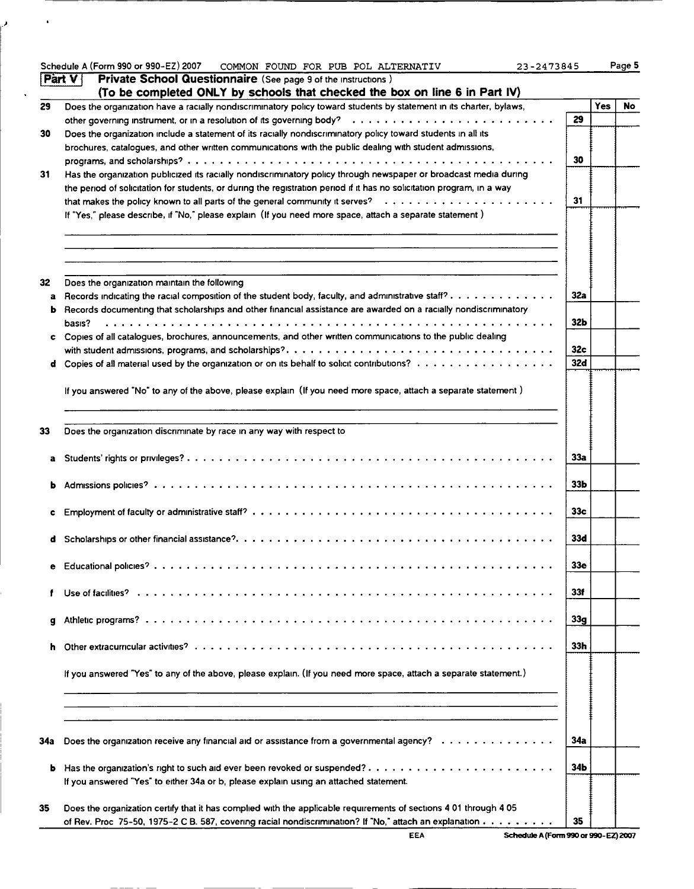|     | Schedule A (Form 990 or 990-EZ) 2007<br>COMMON FOUND FOR PUB POL ALTERNATIV<br>23-2473845                                 |                 |     | Page 5 |
|-----|---------------------------------------------------------------------------------------------------------------------------|-----------------|-----|--------|
|     | Private School Questionnaire (See page 9 of the instructions)<br><b>Part V</b>                                            |                 |     |        |
|     | (To be completed ONLY by schools that checked the box on line 6 in Part IV)                                               |                 |     |        |
| 29  | Does the organization have a racially nondiscriminatory policy toward students by statement in its charter, bylaws,       |                 | Yes | No     |
|     |                                                                                                                           | 29              |     |        |
| 30  | Does the organization include a statement of its racially nondiscriminatory policy toward students in all its             |                 |     |        |
|     | brochures, catalogues, and other written communications with the public dealing with student admissions,                  |                 |     |        |
|     |                                                                                                                           | 30              |     |        |
| 31  | Has the organization publicized its racially nondiscriminatory policy through newspaper or broadcast media during         |                 |     |        |
|     | the period of solicitation for students, or during the registration period if it has no solicitation program, in a way    |                 |     |        |
|     |                                                                                                                           | 31              |     |        |
|     | If "Yes," please describe, if "No," please explain (If you need more space, attach a separate statement)                  |                 |     |        |
|     |                                                                                                                           |                 |     |        |
|     |                                                                                                                           |                 |     |        |
|     |                                                                                                                           |                 |     |        |
|     |                                                                                                                           |                 |     |        |
| 32  | Does the organization maintain the following                                                                              |                 |     |        |
|     | a Records indicating the racial composition of the student body, faculty, and administrative staff?                       | 32a             |     |        |
|     | <b>b</b> Records documenting that scholarships and other financial assistance are awarded on a racially nondiscriminatory |                 |     |        |
|     | basis?                                                                                                                    | <b>32b</b>      |     |        |
|     | c Copies of all catalogues, brochures, announcements, and other written communications to the public dealing              |                 |     |        |
|     |                                                                                                                           | 32 <sub>c</sub> |     |        |
|     | <b>d</b> Copies of all material used by the organization or on its behalf to solicit contributions? $\ldots$ ,            | 32d             |     |        |
|     |                                                                                                                           |                 |     |        |
|     |                                                                                                                           |                 |     |        |
|     | If you answered "No" to any of the above, please explain (If you need more space, attach a separate statement)            |                 |     |        |
|     |                                                                                                                           |                 |     |        |
|     |                                                                                                                           |                 |     |        |
| 33  | Does the organization discriminate by race in any way with respect to                                                     |                 |     |        |
|     |                                                                                                                           | 33a             |     |        |
| a   |                                                                                                                           |                 |     |        |
|     |                                                                                                                           | 33 <sub>b</sub> |     |        |
|     |                                                                                                                           |                 |     |        |
|     |                                                                                                                           |                 |     |        |
|     |                                                                                                                           | 33 <sub>c</sub> |     |        |
|     |                                                                                                                           |                 |     |        |
|     |                                                                                                                           | 33d             |     |        |
|     |                                                                                                                           |                 |     |        |
| е   |                                                                                                                           | 33e             |     |        |
|     |                                                                                                                           |                 |     |        |
|     |                                                                                                                           | 33f             |     |        |
|     |                                                                                                                           |                 |     |        |
| g   |                                                                                                                           | 33 <sub>g</sub> |     |        |
|     |                                                                                                                           |                 |     |        |
|     |                                                                                                                           | 33h             |     |        |
|     |                                                                                                                           |                 |     |        |
|     | If you answered "Yes" to any of the above, please explain. (If you need more space, attach a separate statement.)         |                 |     |        |
|     |                                                                                                                           |                 |     |        |
|     |                                                                                                                           |                 |     |        |
|     |                                                                                                                           |                 |     |        |
|     |                                                                                                                           |                 |     |        |
| 34a | Does the organization receive any financial aid or assistance from a governmental agency?                                 | 34a             |     |        |
|     |                                                                                                                           |                 |     |        |
| b   |                                                                                                                           | 34b             |     |        |
|     | If you answered "Yes" to either 34a or b, please explain using an attached statement.                                     |                 |     |        |
|     |                                                                                                                           |                 |     |        |
| 35  | Does the organization certify that it has complied with the applicable requirements of sections 4 01 through 4 05         |                 |     |        |
|     | of Rev. Proc 75-50, 1975-2 C B. 587, covering racial nondiscrimination? If "No," attach an explanation                    | 35              |     |        |
|     |                                                                                                                           |                 |     |        |

 $\sim$   $\bullet$ 

المن

 $\ddot{\phantom{0}}$ 

E EA Schedule A (Form 990 or 990-EZ) 2007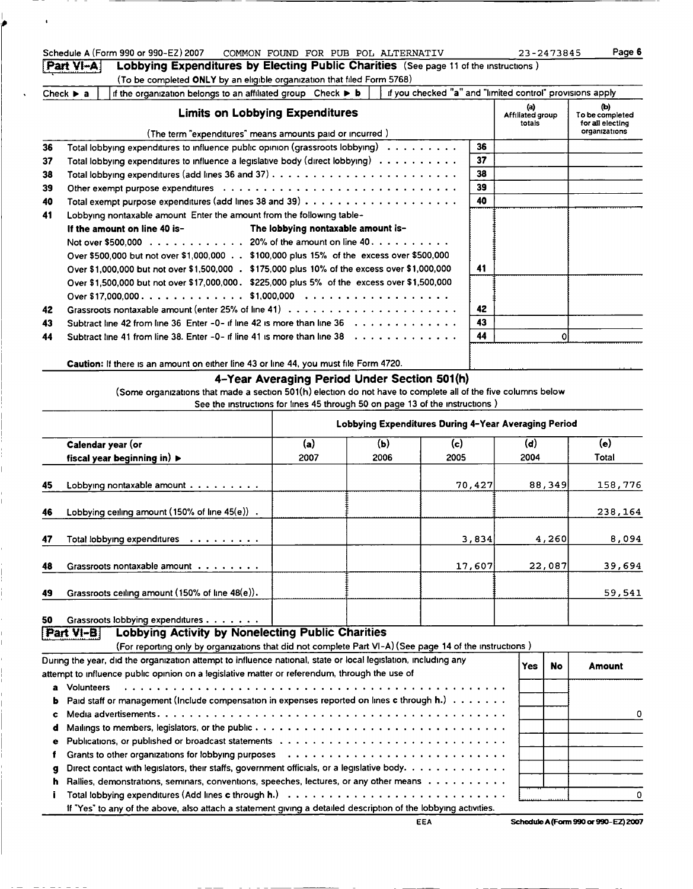|    | Part VI-A                     | Schedule A (Form 990 or 990-EZ) 2007<br>Lobbying Expenditures by Electing Public Charities (See page 11 of the instructions)                                                                                    |                                    | COMMON FOUND FOR PUB POL ALTERNATIV                  |                                                           |                                       | 23-2473845 | Page 6                                                      |
|----|-------------------------------|-----------------------------------------------------------------------------------------------------------------------------------------------------------------------------------------------------------------|------------------------------------|------------------------------------------------------|-----------------------------------------------------------|---------------------------------------|------------|-------------------------------------------------------------|
|    |                               | (To be completed ONLY by an eligible organization that filed Form 5768)                                                                                                                                         |                                    |                                                      |                                                           |                                       |            |                                                             |
|    | Check $\blacktriangleright$ a | if the organization belongs to an affiliated group Check ▶ b                                                                                                                                                    |                                    |                                                      | if you checked "a" and "limited control" provisions apply |                                       |            |                                                             |
|    |                               | <b>Limits on Lobbying Expenditures</b><br>(The term "expenditures" means amounts paid or incurred)                                                                                                              |                                    |                                                      |                                                           | $\circ$<br>Affiliated group<br>totals |            | (b)<br>To be completed<br>for all electing<br>organizations |
| 36 |                               | Total lobbying expenditures to influence public opinion (grassroots lobbying)                                                                                                                                   |                                    |                                                      | 36                                                        |                                       |            |                                                             |
| 37 |                               | Total lobbying expenditures to influence a legislative body (direct lobbying) $\dots \dots \dots$                                                                                                               |                                    |                                                      | 37                                                        |                                       |            |                                                             |
| 38 |                               |                                                                                                                                                                                                                 |                                    |                                                      | 38                                                        |                                       |            |                                                             |
| 39 |                               |                                                                                                                                                                                                                 |                                    |                                                      | 39                                                        |                                       |            |                                                             |
| 40 |                               |                                                                                                                                                                                                                 |                                    |                                                      | 40                                                        |                                       |            |                                                             |
| 41 |                               | Lobbying nontaxable amount Enter the amount from the following table-                                                                                                                                           |                                    |                                                      |                                                           |                                       |            |                                                             |
|    |                               | If the amount on line 40 is-                                                                                                                                                                                    | The lobbying nontaxable amount is- |                                                      |                                                           |                                       |            |                                                             |
|    |                               | Not over \$500,000 20% of the amount on line 40.                                                                                                                                                                |                                    |                                                      |                                                           |                                       |            |                                                             |
|    |                               | Over \$500,000 but not over \$1,000,000 \$100,000 plus 15% of the excess over \$500,000                                                                                                                         |                                    |                                                      |                                                           |                                       |            |                                                             |
|    |                               | Over \$1,000,000 but not over \$1,500,000 . \$175,000 plus 10% of the excess over \$1,000,000                                                                                                                   |                                    |                                                      | 41                                                        |                                       |            |                                                             |
|    |                               | Over \$1,500,000 but not over \$17,000,000. \$225,000 plus 5% of the excess over \$1,500,000                                                                                                                    |                                    |                                                      |                                                           |                                       |            |                                                             |
|    |                               |                                                                                                                                                                                                                 |                                    |                                                      |                                                           |                                       |            |                                                             |
| 42 |                               |                                                                                                                                                                                                                 |                                    |                                                      | 42                                                        |                                       |            |                                                             |
| 43 |                               | Subtract line 42 from line 36 Enter -0- if line 42 is more than line $36 \ldots \ldots \ldots \ldots$<br>Subtract line 41 from line 38. Enter -0- if line 41 is more than line $38 \ldots \ldots \ldots \ldots$ |                                    |                                                      | 43<br>44                                                  |                                       | $\Omega$   |                                                             |
| 44 |                               |                                                                                                                                                                                                                 |                                    |                                                      |                                                           |                                       |            |                                                             |
|    |                               | Caution: If there is an amount on either line 43 or line 44, you must file Form 4720.                                                                                                                           |                                    |                                                      |                                                           |                                       |            |                                                             |
|    |                               | (Some organizations that made a section 501(h) election do not have to complete all of the five columns below<br>See the instructions for lines 45 through 50 on page 13 of the instructions)                   |                                    | 4-Year Averaging Period Under Section 501(h)         |                                                           |                                       |            |                                                             |
|    |                               |                                                                                                                                                                                                                 |                                    | Lobbying Expenditures During 4-Year Averaging Period |                                                           |                                       |            |                                                             |
|    |                               | Calendar year (or                                                                                                                                                                                               | (a)                                | (b)                                                  | (c)                                                       | (d)                                   |            | (e)                                                         |
|    |                               | fiscal year beginning in) $\blacktriangleright$                                                                                                                                                                 | 2007                               | 2006                                                 | 2005                                                      | 2004                                  |            | Total                                                       |
|    |                               |                                                                                                                                                                                                                 |                                    |                                                      |                                                           |                                       |            |                                                             |
| 45 |                               | Lobbying nontaxable amount                                                                                                                                                                                      |                                    |                                                      | 70,427                                                    |                                       | 88,349     | 158,776                                                     |
| 46 |                               | Lobbying ceiling amount (150% of line 45(e)).                                                                                                                                                                   |                                    |                                                      |                                                           |                                       |            | 238,164                                                     |
| 47 |                               | Total lobbying expenditures                                                                                                                                                                                     |                                    |                                                      | 3,834                                                     |                                       | 4,260      | 8,094                                                       |
| 48 |                               | Grassroots nontaxable amount                                                                                                                                                                                    |                                    |                                                      | 17,607                                                    |                                       | 22,087     | 39,694                                                      |
| 49 |                               | Grassroots ceiling amount (150% of line 48(e)).                                                                                                                                                                 |                                    |                                                      |                                                           |                                       |            | 59,541                                                      |
| 50 |                               | Grassroots lobbying expenditures                                                                                                                                                                                |                                    |                                                      |                                                           |                                       |            |                                                             |
|    | Part VI-B                     | <b>Lobbying Activity by Nonelecting Public Charities</b>                                                                                                                                                        |                                    |                                                      |                                                           |                                       |            |                                                             |
|    |                               | (For reporting only by organizations that did not complete Part VI-A) (See page 14 of the instructions)                                                                                                         |                                    |                                                      |                                                           |                                       |            |                                                             |
|    |                               | During the year, did the organization attempt to influence national, state or local legislation, including any                                                                                                  |                                    |                                                      |                                                           | <b>Yes</b>                            | <b>No</b>  | <b>Amount</b>                                               |
| a  | <b>Volunteers</b>             | attempt to influence public opinion on a legislative matter or referendum, through the use of                                                                                                                   |                                    |                                                      |                                                           |                                       |            |                                                             |
|    |                               | Paid staff or management (Include compensation in expenses reported on lines c through h.)                                                                                                                      |                                    |                                                      |                                                           |                                       |            |                                                             |
| c  |                               |                                                                                                                                                                                                                 |                                    |                                                      |                                                           |                                       |            | 0                                                           |
| d  |                               |                                                                                                                                                                                                                 |                                    |                                                      |                                                           |                                       |            |                                                             |
| е  |                               |                                                                                                                                                                                                                 |                                    |                                                      |                                                           |                                       |            |                                                             |
| f  |                               | Grants to other organizations for lobbying purposes                                                                                                                                                             |                                    |                                                      |                                                           |                                       |            |                                                             |
| g  |                               | Direct contact with legislators, their staffs, government officials, or a legislative body.                                                                                                                     |                                    |                                                      |                                                           |                                       |            |                                                             |
| h  |                               | Rallies, demonstrations, seminars, conventions, speeches, lectures, or any other means                                                                                                                          |                                    |                                                      |                                                           |                                       |            |                                                             |
|    |                               |                                                                                                                                                                                                                 |                                    |                                                      |                                                           |                                       |            | 0                                                           |
|    |                               | If "Yes" to any of the above, also attach a statement giving a detailed description of the lobbying activities.                                                                                                 |                                    |                                                      |                                                           |                                       |            |                                                             |

l,

 $\ddot{\phantom{a}}$ 

EEA Schedule A (Form 990 or 990-EZ) 2007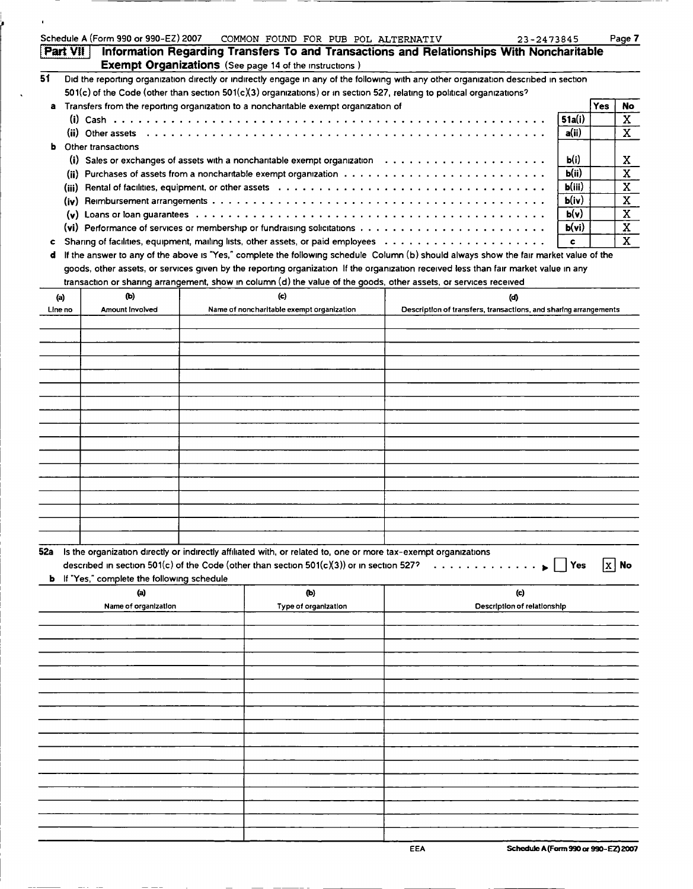|                 | Schedule A (Form 990 or 990-EZ) 2007               | COMMON FOUND FOR PUB POL ALTERNATIV                                                                                                    |                                                                  | 23-2473845                         |         |     | Page 7                  |
|-----------------|----------------------------------------------------|----------------------------------------------------------------------------------------------------------------------------------------|------------------------------------------------------------------|------------------------------------|---------|-----|-------------------------|
| <b>Part VII</b> |                                                    | Information Regarding Transfers To and Transactions and Relationships With Noncharitable                                               |                                                                  |                                    |         |     |                         |
|                 |                                                    | <b>Exempt Organizations</b> (See page 14 of the instructions)                                                                          |                                                                  |                                    |         |     |                         |
| 51              |                                                    | Did the reporting organization directly or indirectly engage in any of the following with any other organization described in section  |                                                                  |                                    |         |     |                         |
|                 |                                                    | 501(c) of the Code (other than section 501(c)(3) organizations) or in section 527, relating to political organizations?                |                                                                  |                                    |         |     |                         |
|                 |                                                    | a Transfers from the reporting organization to a noncharitable exempt organization of                                                  |                                                                  |                                    |         | Yes | No.                     |
|                 |                                                    |                                                                                                                                        |                                                                  |                                    | 51a(i)  |     | X                       |
|                 |                                                    |                                                                                                                                        |                                                                  |                                    | a(ii)   |     | $\mathbf X$             |
|                 | <b>b</b> Other transactions                        |                                                                                                                                        |                                                                  |                                    |         |     |                         |
|                 |                                                    | (i) Sales or exchanges of assets with a noncharitable exempt organization $\ldots \ldots \ldots \ldots \ldots \ldots$                  |                                                                  |                                    | b(i)    |     | X                       |
|                 |                                                    | (ii) Purchases of assets from a noncharitable exempt organization $\cdots \cdots \cdots \cdots \cdots \cdots \cdots \cdots$            |                                                                  |                                    | b(ii)   |     | $\overline{\textbf{x}}$ |
|                 |                                                    |                                                                                                                                        |                                                                  |                                    | b(iii)  |     |                         |
|                 |                                                    |                                                                                                                                        |                                                                  |                                    |         |     | X                       |
|                 |                                                    |                                                                                                                                        |                                                                  |                                    | b(iv)   |     | $\mathbf X$             |
|                 |                                                    |                                                                                                                                        |                                                                  |                                    | b(v)    |     | $\mathbf X$             |
|                 |                                                    | (vi) Performance of services or membership or fundraising solicitations $\ldots \ldots \ldots \ldots \ldots \ldots \ldots \ldots$      |                                                                  |                                    | b(vi)   |     | $\overline{\mathbf{X}}$ |
| c               |                                                    |                                                                                                                                        |                                                                  |                                    | c       |     | $\mathbf{x}$            |
| d               |                                                    | If the answer to any of the above is "Yes," complete the following schedule Column (b) should always show the fair market value of the |                                                                  |                                    |         |     |                         |
|                 |                                                    | goods, other assets, or services given by the reporting organization If the organization received less than fair market value in any   |                                                                  |                                    |         |     |                         |
|                 |                                                    | transaction or sharing arrangement, show in column (d) the value of the goods, other assets, or services received                      |                                                                  |                                    |         |     |                         |
| (a)             | (Ы)                                                | (c)                                                                                                                                    |                                                                  | (d)                                |         |     |                         |
| Line no         | Amount Involved                                    | Name of noncharitable exempt organization                                                                                              | Description of transfers, transactions, and sharing arrangements |                                    |         |     |                         |
|                 |                                                    |                                                                                                                                        |                                                                  |                                    |         |     |                         |
|                 |                                                    |                                                                                                                                        |                                                                  |                                    |         |     |                         |
|                 |                                                    |                                                                                                                                        |                                                                  |                                    |         |     |                         |
|                 |                                                    |                                                                                                                                        |                                                                  |                                    |         |     |                         |
|                 |                                                    |                                                                                                                                        |                                                                  |                                    |         |     |                         |
|                 |                                                    |                                                                                                                                        |                                                                  |                                    |         |     |                         |
|                 |                                                    |                                                                                                                                        |                                                                  |                                    |         |     |                         |
|                 |                                                    |                                                                                                                                        |                                                                  |                                    |         |     |                         |
|                 |                                                    |                                                                                                                                        |                                                                  |                                    |         |     |                         |
|                 |                                                    |                                                                                                                                        |                                                                  |                                    |         |     |                         |
|                 |                                                    |                                                                                                                                        |                                                                  |                                    |         |     |                         |
|                 |                                                    |                                                                                                                                        |                                                                  |                                    |         |     |                         |
|                 |                                                    |                                                                                                                                        |                                                                  |                                    |         |     |                         |
|                 |                                                    |                                                                                                                                        |                                                                  |                                    |         |     |                         |
|                 |                                                    |                                                                                                                                        |                                                                  |                                    |         |     |                         |
|                 |                                                    |                                                                                                                                        |                                                                  |                                    |         |     |                         |
|                 |                                                    |                                                                                                                                        |                                                                  |                                    |         |     |                         |
|                 |                                                    |                                                                                                                                        |                                                                  |                                    |         |     |                         |
|                 |                                                    |                                                                                                                                        |                                                                  |                                    |         |     |                         |
|                 |                                                    | 52a Is the organization directly or indirectly affiliated with, or related to, one or more tax-exempt organizations                    |                                                                  |                                    |         |     |                         |
|                 |                                                    | described in section 501(c) of the Code (other than section $501(c)(3)$ ) or in section 527?                                           |                                                                  |                                    | $ Y$ es |     | x   No                  |
|                 | <b>b</b> If "Yes," complete the following schedule |                                                                                                                                        |                                                                  |                                    |         |     |                         |
|                 | (a)                                                | (b)                                                                                                                                    |                                                                  | (c)                                |         |     |                         |
|                 | Name of organization                               | Type of organization                                                                                                                   |                                                                  | <b>Description of relationship</b> |         |     |                         |
|                 |                                                    |                                                                                                                                        |                                                                  |                                    |         |     |                         |
|                 |                                                    |                                                                                                                                        |                                                                  |                                    |         |     |                         |
|                 |                                                    |                                                                                                                                        |                                                                  |                                    |         |     |                         |
|                 |                                                    |                                                                                                                                        |                                                                  |                                    |         |     |                         |
|                 |                                                    |                                                                                                                                        |                                                                  |                                    |         |     |                         |
|                 |                                                    |                                                                                                                                        |                                                                  |                                    |         |     |                         |
|                 |                                                    |                                                                                                                                        |                                                                  |                                    |         |     |                         |
|                 |                                                    |                                                                                                                                        |                                                                  |                                    |         |     |                         |
|                 |                                                    |                                                                                                                                        |                                                                  |                                    |         |     |                         |
|                 |                                                    |                                                                                                                                        |                                                                  |                                    |         |     |                         |
|                 |                                                    |                                                                                                                                        |                                                                  |                                    |         |     |                         |
|                 |                                                    |                                                                                                                                        |                                                                  |                                    |         |     |                         |
|                 |                                                    |                                                                                                                                        |                                                                  |                                    |         |     |                         |
|                 |                                                    |                                                                                                                                        |                                                                  |                                    |         |     |                         |
|                 |                                                    |                                                                                                                                        |                                                                  |                                    |         |     |                         |
|                 |                                                    |                                                                                                                                        |                                                                  |                                    |         |     |                         |
|                 |                                                    |                                                                                                                                        |                                                                  |                                    |         |     |                         |
|                 |                                                    |                                                                                                                                        |                                                                  |                                    |         |     |                         |
|                 |                                                    |                                                                                                                                        |                                                                  |                                    |         |     |                         |

ļ.

 $\sim$   $\alpha$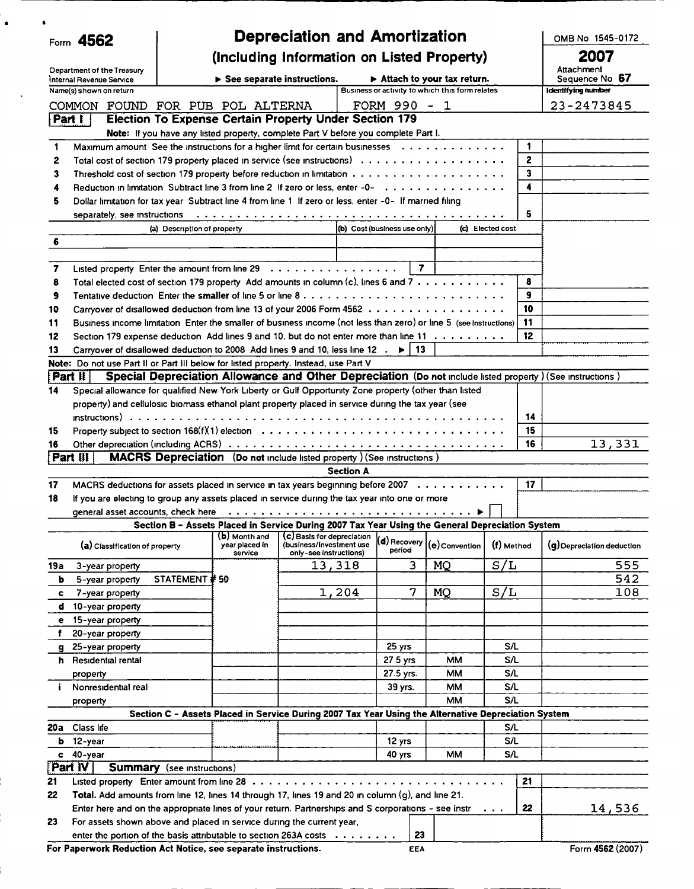|         | Form 4562                                                                                                                                                                                                                      |                                   |                                                                                                            | <b>Depreciation and Amortization</b>                                             |                  |                              |                                                 |                      |              | OMB No 1545-0172                                                                                          |
|---------|--------------------------------------------------------------------------------------------------------------------------------------------------------------------------------------------------------------------------------|-----------------------------------|------------------------------------------------------------------------------------------------------------|----------------------------------------------------------------------------------|------------------|------------------------------|-------------------------------------------------|----------------------|--------------|-----------------------------------------------------------------------------------------------------------|
|         |                                                                                                                                                                                                                                |                                   | (Including Information on Listed Property)                                                                 |                                                                                  |                  |                              |                                                 |                      |              | 2007                                                                                                      |
|         | Department of the Treasury                                                                                                                                                                                                     |                                   |                                                                                                            |                                                                                  |                  |                              |                                                 |                      |              | Attachment                                                                                                |
|         | Internal Revenue Service                                                                                                                                                                                                       |                                   | $\triangleright$ See separate instructions.                                                                |                                                                                  |                  |                              | $\triangleright$ Attach to your tax return.     |                      |              | Sequence No 67                                                                                            |
|         | Name(s) shown on return                                                                                                                                                                                                        |                                   |                                                                                                            |                                                                                  |                  |                              | Business or activity to which this form relates |                      |              | Identifying number                                                                                        |
|         | COMMON FOUND FOR PUB POL ALTERNA                                                                                                                                                                                               |                                   |                                                                                                            |                                                                                  |                  | FORM 990 - 1                 |                                                 |                      |              | 23-2473845                                                                                                |
|         | Part I                                                                                                                                                                                                                         |                                   | <b>Election To Expense Certain Property Under Section 179</b>                                              |                                                                                  |                  |                              |                                                 |                      |              |                                                                                                           |
| 1       | Maximum amount See the instructions for a higher limit for certain businesses $\dots \dots \dots \dots \dots$                                                                                                                  |                                   | Note: If you have any listed property, complete Part V before you complete Part I.                         |                                                                                  |                  |                              |                                                 |                      | 1            |                                                                                                           |
| 2       |                                                                                                                                                                                                                                |                                   |                                                                                                            |                                                                                  |                  |                              |                                                 |                      | $\mathbf{z}$ |                                                                                                           |
| 3       |                                                                                                                                                                                                                                |                                   |                                                                                                            |                                                                                  |                  |                              |                                                 |                      | 3            |                                                                                                           |
| 4       | Reduction in limitation Subtract line 3 from line 2 If zero or less, enter -0-                                                                                                                                                 |                                   |                                                                                                            |                                                                                  |                  |                              |                                                 |                      | 4            |                                                                                                           |
| 5       | Dollar limitation for tax year Subtract line 4 from line 1 If zero or less, enter -0- If married filing                                                                                                                        |                                   |                                                                                                            |                                                                                  |                  |                              |                                                 |                      |              |                                                                                                           |
|         | separately, see instructions (and accommodate of the control of the control of the control of the control of the control of the control of the control of the control of the control of the control of the control of the cont |                                   |                                                                                                            |                                                                                  |                  |                              |                                                 |                      | 5.           |                                                                                                           |
|         |                                                                                                                                                                                                                                | (a) Description of property       |                                                                                                            |                                                                                  |                  | (b) Cost (business use only) |                                                 | (c) Elected cost     |              |                                                                                                           |
| 6       |                                                                                                                                                                                                                                |                                   |                                                                                                            |                                                                                  |                  |                              |                                                 |                      |              |                                                                                                           |
|         |                                                                                                                                                                                                                                |                                   |                                                                                                            |                                                                                  |                  |                              |                                                 |                      |              |                                                                                                           |
| 7       | Listed property Enter the amount from line $29 \ldots \ldots \ldots \ldots \ldots \ldots$                                                                                                                                      |                                   |                                                                                                            |                                                                                  |                  | $\overline{7}$               |                                                 |                      |              |                                                                                                           |
| 8       | Total elected cost of section 179 property Add amounts in column (c), lines 6 and 7                                                                                                                                            |                                   |                                                                                                            |                                                                                  |                  |                              |                                                 |                      | 8            |                                                                                                           |
| 9       | Tentative deduction Enter the <b>smaller</b> of line 5 or line 8 $\dots$ , $\dots$ , $\dots$ , $\dots$ , $\dots$ , $\dots$ , $\dots$ , $\dots$ , $\dots$                                                                       |                                   |                                                                                                            |                                                                                  |                  |                              |                                                 |                      | 9            |                                                                                                           |
| 10      | Carryover of disallowed deduction from line 13 of your 2006 Form 4562                                                                                                                                                          |                                   |                                                                                                            |                                                                                  |                  |                              |                                                 |                      | 10           |                                                                                                           |
| 11      | Business income limitation Enter the smaller of business income (not less than zero) or line 5 (see instructions)                                                                                                              |                                   |                                                                                                            |                                                                                  |                  |                              |                                                 |                      | 11           |                                                                                                           |
| 12      | Section 179 expense deduction Add lines 9 and 10, but do not enter more than line 11                                                                                                                                           |                                   |                                                                                                            |                                                                                  |                  |                              |                                                 |                      | 12           |                                                                                                           |
| 13      | Carryover of disallowed deduction to 2008 Add lines 9 and 10, less line 12 $\cdot \cdot \cdot$   13                                                                                                                            |                                   |                                                                                                            |                                                                                  |                  |                              |                                                 |                      |              |                                                                                                           |
|         | Note: Do not use Part II or Part III below for listed property. Instead, use Part V<br>[Part II]                                                                                                                               |                                   |                                                                                                            |                                                                                  |                  |                              |                                                 |                      |              | Special Depreciation Allowance and Other Depreciation (Do not include listed property) (See instructions) |
| 14      | Special allowance for qualified New York Liberty or Gulf Opportunity Zone property (other than listed                                                                                                                          |                                   |                                                                                                            |                                                                                  |                  |                              |                                                 |                      |              |                                                                                                           |
|         | property) and cellulosic biomass ethanol plant property placed in service during the tax year (see                                                                                                                             |                                   |                                                                                                            |                                                                                  |                  |                              |                                                 |                      |              |                                                                                                           |
|         | $in$ structions) $\ldots \ldots \ldots \ldots \ldots \ldots \ldots \ldots \ldots$                                                                                                                                              |                                   |                                                                                                            |                                                                                  |                  |                              |                                                 |                      | 14           |                                                                                                           |
| 15      |                                                                                                                                                                                                                                |                                   |                                                                                                            |                                                                                  |                  |                              |                                                 |                      | 15           |                                                                                                           |
| 16      |                                                                                                                                                                                                                                |                                   |                                                                                                            |                                                                                  |                  |                              |                                                 |                      | 16           | 13,331                                                                                                    |
|         | [Part 腓]                                                                                                                                                                                                                       |                                   | <b>MACRS Depreciation</b> (Do not include listed property) (See instructions)                              |                                                                                  |                  |                              |                                                 |                      |              |                                                                                                           |
|         |                                                                                                                                                                                                                                |                                   |                                                                                                            |                                                                                  | <b>Section A</b> |                              |                                                 |                      |              |                                                                                                           |
| 17      | MACRS deductions for assets placed in service in tax years beginning before 2007                                                                                                                                               |                                   |                                                                                                            |                                                                                  |                  |                              |                                                 |                      | 17           |                                                                                                           |
| 18      | If you are electing to group any assets placed in service during the tax year into one or more                                                                                                                                 |                                   |                                                                                                            |                                                                                  |                  |                              |                                                 |                      |              |                                                                                                           |
|         |                                                                                                                                                                                                                                |                                   |                                                                                                            |                                                                                  |                  |                              |                                                 |                      |              |                                                                                                           |
|         |                                                                                                                                                                                                                                |                                   | general asset accounts, check here $\ldots \ldots \ldots \ldots \ldots \ldots \ldots \ldots \ldots \ldots$ |                                                                                  |                  |                              |                                                 |                      |              |                                                                                                           |
|         |                                                                                                                                                                                                                                |                                   | Section B - Assets Placed in Service During 2007 Tax Year Using the General Depreciation System            |                                                                                  |                  |                              |                                                 |                      |              |                                                                                                           |
|         | (a) Classification of property                                                                                                                                                                                                 |                                   | (b) Month and<br>year placed in<br>service                                                                 | (C) Basis for depreciation<br>(business/investment use<br>only-see instructions) |                  | (d) Recovery<br>period       | (e) Convention                                  | (f) Method           |              | (g) Depreciation deduction                                                                                |
| 19a     | 3-year property                                                                                                                                                                                                                |                                   |                                                                                                            | 13,318                                                                           |                  | 3                            | MQ                                              | S/L                  |              | 555                                                                                                       |
| b       | 5-year property                                                                                                                                                                                                                | STATEMENT # 50                    |                                                                                                            |                                                                                  |                  |                              |                                                 |                      |              | 542                                                                                                       |
| c       | 7-year property                                                                                                                                                                                                                |                                   |                                                                                                            |                                                                                  | 1,204            | 7                            | <b>MQ</b>                                       | S/L                  |              | 108                                                                                                       |
| d       | 10-year property                                                                                                                                                                                                               |                                   |                                                                                                            |                                                                                  |                  |                              |                                                 |                      |              |                                                                                                           |
| е       | 15-year property                                                                                                                                                                                                               |                                   |                                                                                                            |                                                                                  |                  |                              |                                                 |                      |              |                                                                                                           |
| f       | 20-year property                                                                                                                                                                                                               |                                   |                                                                                                            |                                                                                  |                  |                              |                                                 |                      |              |                                                                                                           |
| g       | 25-year property                                                                                                                                                                                                               |                                   |                                                                                                            |                                                                                  |                  | 25 yrs                       |                                                 | <b>S/L</b>           |              |                                                                                                           |
|         | <b>h</b> Residential rental                                                                                                                                                                                                    |                                   |                                                                                                            |                                                                                  |                  | 27 5 yrs                     | MМ                                              | <b>S/L</b>           |              |                                                                                                           |
|         | property                                                                                                                                                                                                                       |                                   |                                                                                                            |                                                                                  |                  | 27.5 yrs.                    | ММ                                              | S/L                  |              |                                                                                                           |
| i.      | Nonresidential real                                                                                                                                                                                                            |                                   |                                                                                                            |                                                                                  |                  | 39 yrs.                      | ММ                                              | S/L                  |              |                                                                                                           |
|         | property                                                                                                                                                                                                                       |                                   |                                                                                                            |                                                                                  |                  |                              | ММ                                              | S/L                  |              |                                                                                                           |
| 20a     | Class life                                                                                                                                                                                                                     |                                   | Section C - Assets Placed in Service During 2007 Tax Year Using the Alternative Depreciation System        |                                                                                  |                  |                              |                                                 | S/L                  |              |                                                                                                           |
| ь       | 12-year                                                                                                                                                                                                                        |                                   |                                                                                                            |                                                                                  |                  | 12 yrs                       |                                                 | S/L                  |              |                                                                                                           |
| c       | 40-year                                                                                                                                                                                                                        |                                   |                                                                                                            |                                                                                  |                  | 40 yrs                       | ММ                                              | SΛ.                  |              |                                                                                                           |
| Part IV |                                                                                                                                                                                                                                | <b>Summary</b> (see instructions) |                                                                                                            |                                                                                  |                  |                              |                                                 |                      |              |                                                                                                           |
| 21      | Listed property Enter amount from line $28$                                                                                                                                                                                    |                                   |                                                                                                            |                                                                                  |                  |                              |                                                 |                      | 21           |                                                                                                           |
| 22      | Total. Add amounts from line 12, lines 14 through 17, lines 19 and 20 in column (g), and line 21.                                                                                                                              |                                   |                                                                                                            |                                                                                  |                  |                              |                                                 |                      |              |                                                                                                           |
|         | Enter here and on the appropriate lines of your return. Partnerships and S corporations - see instr                                                                                                                            |                                   |                                                                                                            |                                                                                  |                  |                              |                                                 | $\sim$ $\sim$ $\sim$ | 22           | 14,536                                                                                                    |
| 23      | For assets shown above and placed in service during the current year,                                                                                                                                                          |                                   |                                                                                                            |                                                                                  |                  |                              |                                                 |                      |              |                                                                                                           |
|         | enter the portion of the basis attributable to section 263A costs<br>For Paperwork Reduction Act Notice, see separate instructions.                                                                                            |                                   |                                                                                                            |                                                                                  |                  | 23<br>EEA                    |                                                 |                      |              | Form 4562 (2007)                                                                                          |

' .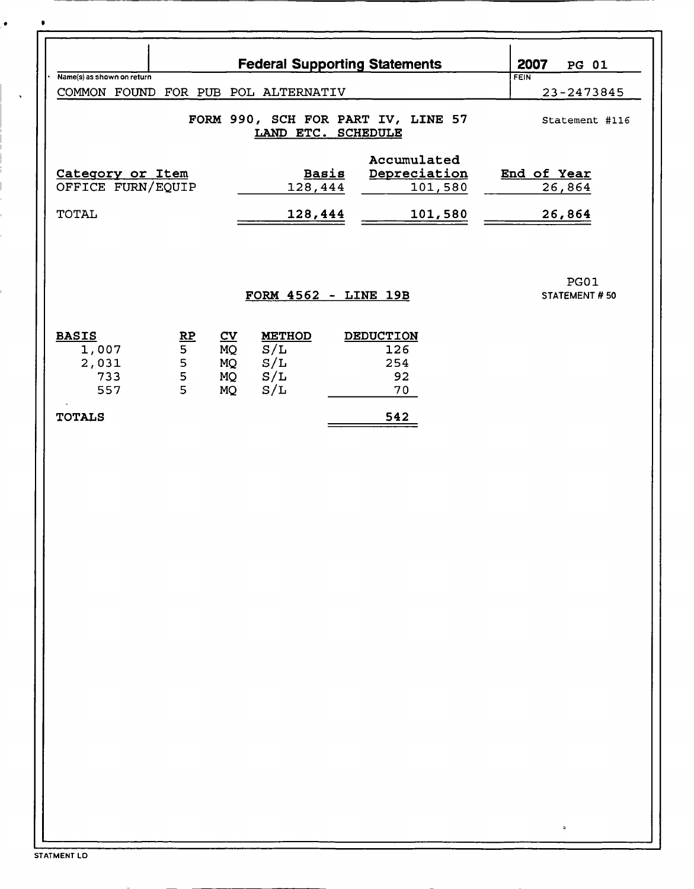|                                     | 2007<br><b>PG 01</b>                                 |                           |               |                                      |                       |
|-------------------------------------|------------------------------------------------------|---------------------------|---------------|--------------------------------------|-----------------------|
| Name(s) as shown on return          |                                                      |                           |               | <b>Federal Supporting Statements</b> | FEIN                  |
| COMMON FOUND FOR PUB POL ALTERNATIV | 23-2473845                                           |                           |               |                                      |                       |
|                                     | FORM 990, SCH FOR PART IV, LINE 57<br>Statement #116 |                           |               |                                      |                       |
|                                     |                                                      |                           |               | Accumulated                          |                       |
| Category or Item                    |                                                      |                           | <b>Basis</b>  | Depreciation                         | End of Year           |
| OFFICE FURN/EQUIP                   |                                                      |                           | 128,444       | 101,580                              | 26,864                |
|                                     |                                                      |                           |               |                                      |                       |
| <b>TOTAL</b>                        |                                                      |                           | 128,444       | 101,580                              | 26,864                |
|                                     |                                                      |                           |               | FORM 4562 - LINE 19B                 | PG01<br>STATEMENT #50 |
| <b>BASIS</b>                        |                                                      | $\underline{\mathbf{cv}}$ | <b>METHOD</b> | <b>DEDUCTION</b>                     |                       |
| 1,007                               | $\frac{RP}{5}$                                       | MQ                        | S/L           | 126                                  |                       |
| 2,031                               | 5                                                    | MQ                        | S/L           | 254                                  |                       |
| 733<br>557                          | 5<br>$\overline{5}$                                  | MQ<br>MQ                  | S/L<br>S/L    | 92<br>70                             |                       |
|                                     |                                                      |                           |               |                                      |                       |
| <b>TOTALS</b>                       |                                                      |                           |               | 542                                  |                       |
|                                     |                                                      |                           |               |                                      |                       |
|                                     |                                                      |                           |               |                                      |                       |
|                                     |                                                      |                           |               |                                      |                       |
|                                     |                                                      |                           |               |                                      |                       |
|                                     |                                                      |                           |               |                                      |                       |
|                                     |                                                      |                           |               |                                      |                       |
|                                     |                                                      |                           |               |                                      |                       |
|                                     |                                                      |                           |               |                                      |                       |
|                                     |                                                      |                           |               |                                      |                       |
|                                     |                                                      |                           |               |                                      |                       |
|                                     |                                                      |                           |               |                                      |                       |
|                                     |                                                      |                           |               |                                      |                       |
|                                     |                                                      |                           |               |                                      |                       |
|                                     |                                                      |                           |               |                                      |                       |
|                                     |                                                      |                           |               |                                      |                       |
|                                     |                                                      |                           |               |                                      |                       |
|                                     |                                                      |                           |               |                                      |                       |
|                                     |                                                      |                           |               |                                      |                       |
|                                     |                                                      |                           |               |                                      |                       |
|                                     |                                                      |                           |               |                                      |                       |
|                                     |                                                      |                           |               |                                      |                       |
|                                     |                                                      |                           |               |                                      |                       |
|                                     |                                                      |                           |               |                                      |                       |
|                                     |                                                      |                           |               |                                      |                       |
|                                     |                                                      |                           |               |                                      |                       |
|                                     |                                                      |                           |               |                                      | ٥                     |

 $\bullet$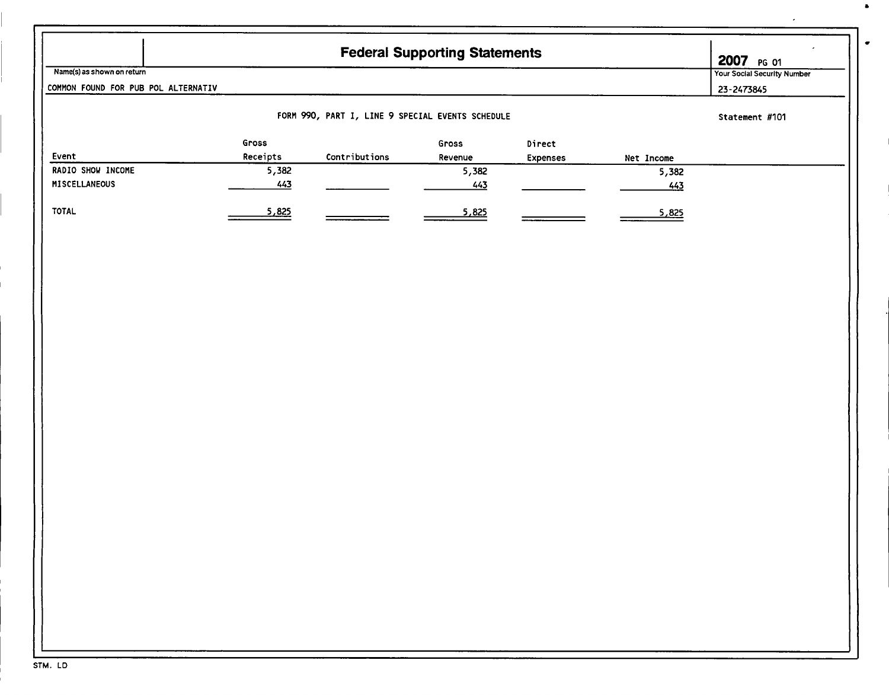|                                     |                   |                                                  | <b>Federal Supporting Statements</b> |                    |            | 2007 PG 01                         |
|-------------------------------------|-------------------|--------------------------------------------------|--------------------------------------|--------------------|------------|------------------------------------|
| Name(s) as shown on return          |                   |                                                  |                                      |                    |            | <b>Your Social Security Number</b> |
| COMMON FOUND FOR PUB POL ALTERNATIV |                   |                                                  |                                      |                    |            | 23-2473845                         |
|                                     |                   | FORM 990, PART I, LINE 9 SPECIAL EVENTS SCHEDULE |                                      |                    |            | Statement #101                     |
| Event                               | Gross<br>Receipts | Contributions                                    | Gross<br>Revenue                     | Direct<br>Expenses | Net Income |                                    |
| RADIO SHOW INCOME                   | 5,382             |                                                  | 5,382                                |                    | 5,382      |                                    |
| MISCELLANEOUS                       | 443               |                                                  | 443                                  |                    | 443        |                                    |
|                                     |                   |                                                  |                                      |                    |            |                                    |
| <b>TOTAL</b>                        | 5,825             |                                                  | 5,825                                |                    | 5,825      |                                    |
|                                     |                   |                                                  |                                      |                    |            |                                    |
|                                     |                   |                                                  |                                      |                    |            |                                    |
|                                     |                   |                                                  |                                      |                    |            |                                    |
|                                     |                   |                                                  |                                      |                    |            |                                    |
|                                     |                   |                                                  |                                      |                    |            |                                    |
|                                     |                   |                                                  |                                      |                    |            |                                    |
|                                     |                   |                                                  |                                      |                    |            |                                    |
|                                     |                   |                                                  |                                      |                    |            |                                    |
|                                     |                   |                                                  |                                      |                    |            |                                    |
|                                     |                   |                                                  |                                      |                    |            |                                    |
|                                     |                   |                                                  |                                      |                    |            |                                    |
|                                     |                   |                                                  |                                      |                    |            |                                    |
|                                     |                   |                                                  |                                      |                    |            |                                    |
|                                     |                   |                                                  |                                      |                    |            |                                    |
|                                     |                   |                                                  |                                      |                    |            |                                    |
|                                     |                   |                                                  |                                      |                    |            |                                    |
|                                     |                   |                                                  |                                      |                    |            |                                    |
|                                     |                   |                                                  |                                      |                    |            |                                    |
|                                     |                   |                                                  |                                      |                    |            |                                    |
|                                     |                   |                                                  |                                      |                    |            |                                    |
|                                     |                   |                                                  |                                      |                    |            |                                    |
|                                     |                   |                                                  |                                      |                    |            |                                    |
|                                     |                   |                                                  |                                      |                    |            |                                    |
|                                     |                   |                                                  |                                      |                    |            |                                    |
|                                     |                   |                                                  |                                      |                    |            |                                    |
|                                     |                   |                                                  |                                      |                    |            |                                    |
|                                     |                   |                                                  |                                      |                    |            |                                    |
|                                     |                   |                                                  |                                      |                    |            |                                    |
|                                     |                   |                                                  |                                      |                    |            |                                    |
|                                     |                   |                                                  |                                      |                    |            |                                    |
|                                     |                   |                                                  |                                      |                    |            |                                    |

 $\blacksquare$ 

 $\bullet$ 

 $\overline{a}$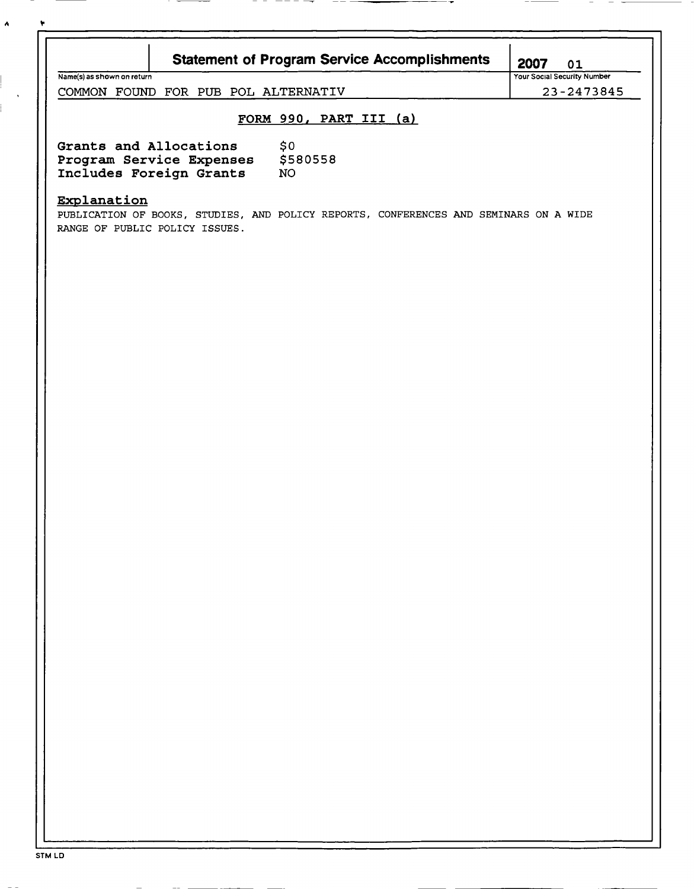| ٠ |                                                                                                                                        |                                                  |  |
|---|----------------------------------------------------------------------------------------------------------------------------------------|--------------------------------------------------|--|
|   | <b>Statement of Program Service Accomplishments</b><br>Name(s) as shown on return                                                      | 2007<br>01<br><b>Your Social Security Number</b> |  |
|   | COMMON FOUND FOR PUB POL ALTERNATIV                                                                                                    | 23-2473845                                       |  |
|   | FORM 990, PART III (a)                                                                                                                 |                                                  |  |
|   | Grants and Allocations<br>\$0<br>Program Service Expenses \$580558<br>Includes Foreign Grants<br>NO.                                   |                                                  |  |
|   | Explanation<br>PUBLICATION OF BOOKS, STUDIES, AND POLICY REPORTS, CONFERENCES AND SEMINARS ON A WIDE<br>RANGE OF PUBLIC POLICY ISSUES. |                                                  |  |
|   |                                                                                                                                        |                                                  |  |
|   |                                                                                                                                        |                                                  |  |
|   |                                                                                                                                        |                                                  |  |
|   |                                                                                                                                        |                                                  |  |
|   |                                                                                                                                        |                                                  |  |
|   |                                                                                                                                        |                                                  |  |
|   |                                                                                                                                        |                                                  |  |
|   |                                                                                                                                        |                                                  |  |
|   |                                                                                                                                        |                                                  |  |
|   |                                                                                                                                        |                                                  |  |
|   |                                                                                                                                        |                                                  |  |
|   |                                                                                                                                        |                                                  |  |

 $\hat{\mathbf{A}}$